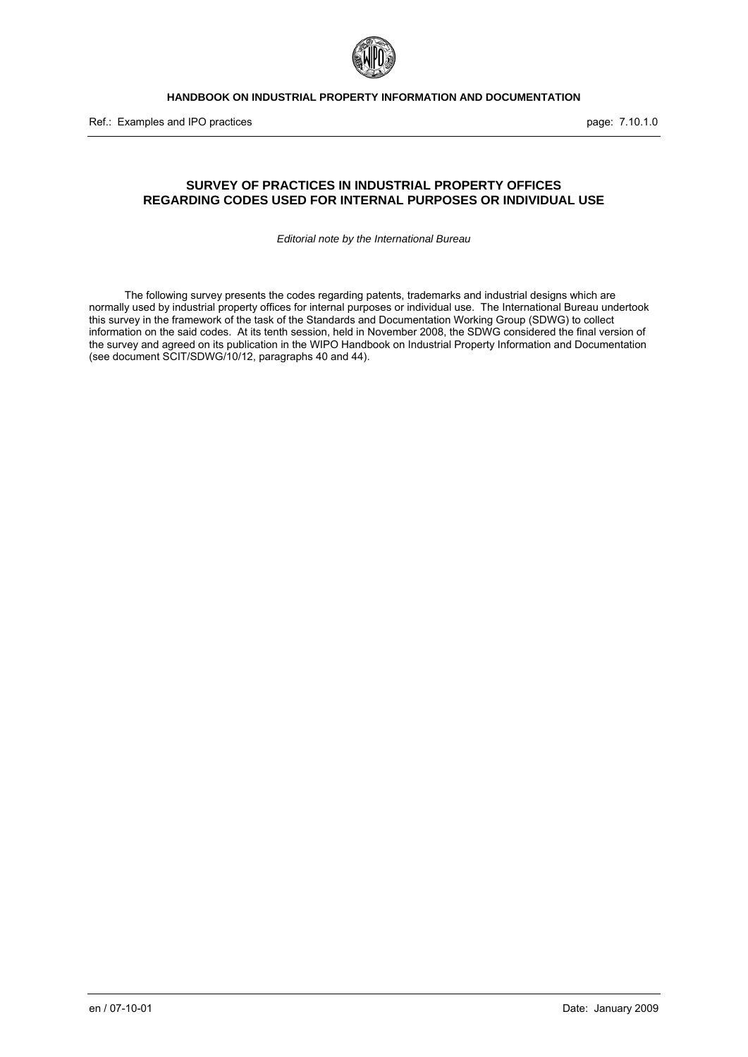

Ref.: Examples and IPO practices **page: 7.10.1.0** page: 7.10.1.0

# **SURVEY OF PRACTICES IN INDUSTRIAL PROPERTY OFFICES REGARDING CODES USED FOR INTERNAL PURPOSES OR INDIVIDUAL USE**

*Editorial note by the International Bureau* 

The following survey presents the codes regarding patents, trademarks and industrial designs which are normally used by industrial property offices for internal purposes or individual use. The International Bureau undertook this survey in the framework of the task of the Standards and Documentation Working Group (SDWG) to collect information on the said codes. At its tenth session, held in November 2008, the SDWG considered the final version of the survey and agreed on its publication in the WIPO Handbook on Industrial Property Information and Documentation (see document SCIT/SDWG/10/12, paragraphs 40 and 44).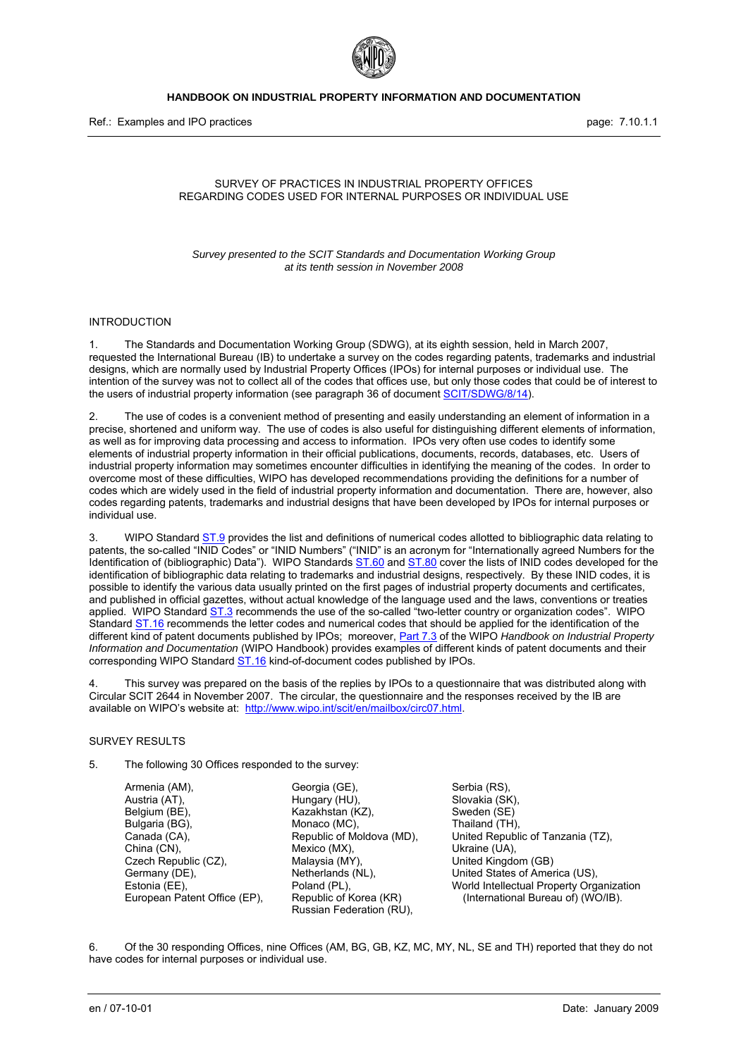

Ref.: Examples and IPO practices **page: 7.10.1.1** page: 7.10.1.1

#### SURVEY OF PRACTICES IN INDUSTRIAL PROPERTY OFFICES REGARDING CODES USED FOR INTERNAL PURPOSES OR INDIVIDUAL USE

*Survey presented to the SCIT Standards and Documentation Working Group at its tenth session in November 2008* 

#### INTRODUCTION

1. The Standards and Documentation Working Group (SDWG), at its eighth session, held in March 2007, requested the International Bureau (IB) to undertake a survey on the codes regarding patents, trademarks and industrial designs, which are normally used by Industrial Property Offices (IPOs) for internal purposes or individual use. The intention of the survey was not to collect all of the codes that offices use, but only those codes that could be of interest to the users of industrial property information (see paragraph 36 of document [SCIT/SDWG/8/14](http://www.wipo.int/meetings/en/doc_details.jsp?doc_id=77032)).

2. The use of codes is a convenient method of presenting and easily understanding an element of information in a precise, shortened and uniform way. The use of codes is also useful for distinguishing different elements of information, as well as for improving data processing and access to information. IPOs very often use codes to identify some elements of industrial property information in their official publications, documents, records, databases, etc. Users of industrial property information may sometimes encounter difficulties in identifying the meaning of the codes. In order to overcome most of these difficulties, WIPO has developed recommendations providing the definitions for a number of codes which are widely used in the field of industrial property information and documentation. There are, however, also codes regarding patents, trademarks and industrial designs that have been developed by IPOs for internal purposes or individual use.

3. WIPO Standard [ST.9](http://www.wipo.int/standards/en/pdf/03-09-01.pdf) provides the list and definitions of numerical codes allotted to bibliographic data relating to patents, the so-called "INID Codes" or "INID Numbers" ("INID" is an acronym for "Internationally agreed Numbers for the Identification of (bibliographic) Data"). WIPO Standards  $ST.60$  and  $ST.80$  cover the lists of INID codes developed for the identification of bibliographic data relating to trademarks and industrial designs, respectively. By these INID codes, it is possible to identify the various data usually printed on the first pages of industrial property documents and certificates, and published in official gazettes, without actual knowledge of the language used and the laws, conventions or treaties applied. WIPO Standard [ST.3](http://www.wipo.int/standards/en/pdf/03-03-01.pdf) recommends the use of the so-called "two-letter country or organization codes". WIPO Standard [ST.16](http://www.wipo.int/standards/en/pdf/03-16-01.pdf) recommends the letter codes and numerical codes that should be applied for the identification of the different kind of patent documents published by IPOs; moreover, [Part 7.3](http://www.wipo.int/standards/en/part_07.html#7.3) of the WIPO *Handbook on Industrial Property Information and Documentation* (WIPO Handbook) provides examples of different kinds of patent documents and their corresponding WIPO Standard  $ST.16$  kind-of-document codes published by IPOs.

4. This survey was prepared on the basis of the replies by IPOs to a questionnaire that was distributed along with Circular SCIT 2644 in November 2007. The circular, the questionnaire and the responses received by the IB are available on WIPO's website at: [http://www.wipo.int/scit/en/mailbox/circ07.html.](http://www.wipo.int/scit/en/mailbox/circ07.html)

#### SURVEY RESULTS

5. The following 30 Offices responded to the survey:

Armenia (AM), Austria (AT), Belgium (BE), Bulgaria (BG), Canada (CA), China (CN), Czech Republic (CZ), Germany (DE), Estonia (EE), European Patent Office (EP),

Georgia (GE), Hungary (HU), Kazakhstan (KZ), Monaco (MC), Republic of Moldova (MD), Mexico (MX), Malaysia (MY), Netherlands (NL), Poland (PL), Republic of Korea (KR) Russian Federation (RU),

Serbia (RS), Slovakia (SK), Sweden (SE) Thailand (TH), United Republic of Tanzania (TZ), Ukraine (UA), United Kingdom (GB) United States of America (US), World Intellectual Property Organization (International Bureau of) (WO/IB).

6. Of the 30 responding Offices, nine Offices (AM, BG, GB, KZ, MC, MY, NL, SE and TH) reported that they do not have codes for internal purposes or individual use.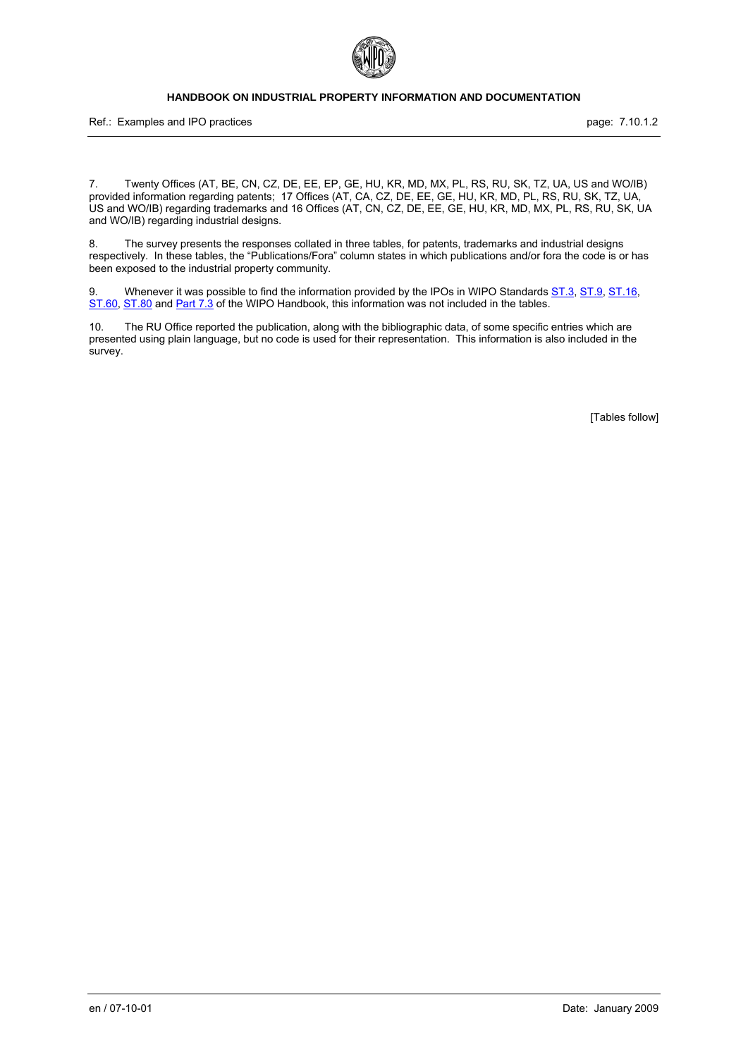

Ref.: Examples and IPO practices **page: 7.10.1.2** page: 7.10.1.2

7. Twenty Offices (AT, BE, CN, CZ, DE, EE, EP, GE, HU, KR, MD, MX, PL, RS, RU, SK, TZ, UA, US and WO/IB) provided information regarding patents; 17 Offices (AT, CA, CZ, DE, EE, GE, HU, KR, MD, PL, RS, RU, SK, TZ, UA, US and WO/IB) regarding trademarks and 16 Offices (AT, CN, CZ, DE, EE, GE, HU, KR, MD, MX, PL, RS, RU, SK, UA and WO/IB) regarding industrial designs.

8. The survey presents the responses collated in three tables, for patents, trademarks and industrial designs respectively. In these tables, the "Publications/Fora" column states in which publications and/or fora the code is or has been exposed to the industrial property community.

9. Whenever it was possible to find the information provided by the IPOs in WIPO Standards [ST.3](http://www.wipo.int/standards/en/pdf/03-03-01.pdf), [ST.9,](http://www.wipo.int/standards/en/pdf/03-09-01.pdf) [ST.16](http://www.wipo.int/standards/en/pdf/03-16-01.pdf), [ST.60,](http://www.wipo.int/standards/en/pdf/03-60-01.pdf) [ST.80](http://www.wipo.int/standards/en/pdf/03-80-01.pdf) and [Part 7.3](http://www.wipo.int/standards/en/part_07.html#7.3) of the WIPO Handbook, this information was not included in the tables.

10. The RU Office reported the publication, along with the bibliographic data, of some specific entries which are presented using plain language, but no code is used for their representation. This information is also included in the survey.

[Tables follow]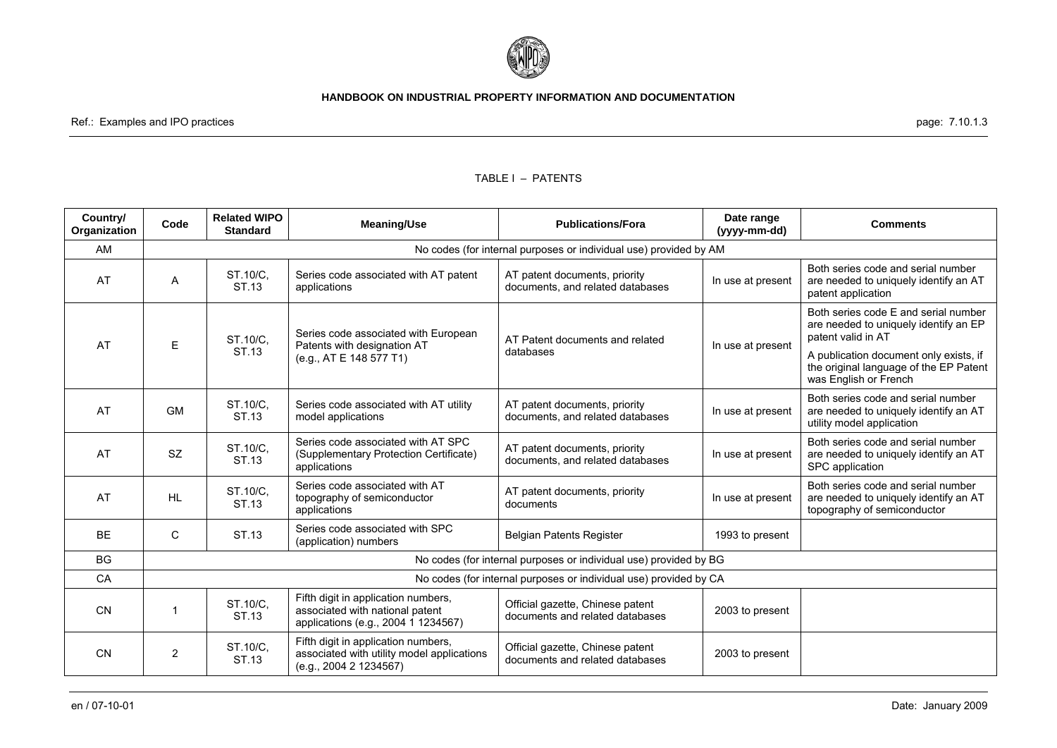

Ref.: Examples and IPO practices page: 7.10.1.3

#### TABLE I – PATENTS

| Country/<br>Organization | Code                                                              | <b>Related WIPO</b><br><b>Standard</b> | <b>Meaning/Use</b>                                                                                            | <b>Publications/Fora</b>                                            | Date range<br>(yyyy-mm-dd) | <b>Comments</b>                                                                                            |  |
|--------------------------|-------------------------------------------------------------------|----------------------------------------|---------------------------------------------------------------------------------------------------------------|---------------------------------------------------------------------|----------------------------|------------------------------------------------------------------------------------------------------------|--|
| AM                       | No codes (for internal purposes or individual use) provided by AM |                                        |                                                                                                               |                                                                     |                            |                                                                                                            |  |
| AT                       | Α                                                                 | ST.10/C.<br>ST.13                      | Series code associated with AT patent<br>applications                                                         | AT patent documents, priority<br>documents, and related databases   | In use at present          | Both series code and serial number<br>are needed to uniquely identify an AT<br>patent application          |  |
| AT                       | E                                                                 | ST.10/C.                               | Series code associated with European<br>Patents with designation AT                                           | AT Patent documents and related                                     | In use at present          | Both series code E and serial number<br>are needed to uniquely identify an EP<br>patent valid in AT        |  |
|                          |                                                                   | ST.13                                  | (e.g., AT E 148 577 T1)                                                                                       | databases                                                           |                            | A publication document only exists, if<br>the original language of the EP Patent<br>was English or French  |  |
| AT                       | <b>GM</b>                                                         | ST.10/C.<br>ST.13                      | Series code associated with AT utility<br>model applications                                                  | AT patent documents, priority<br>documents, and related databases   | In use at present          | Both series code and serial number<br>are needed to uniquely identify an AT<br>utility model application   |  |
| AT                       | <b>SZ</b>                                                         | ST.10/C,<br>ST.13                      | Series code associated with AT SPC<br>(Supplementary Protection Certificate)<br>applications                  | AT patent documents, priority<br>documents, and related databases   | In use at present          | Both series code and serial number<br>are needed to uniquely identify an AT<br>SPC application             |  |
| AT                       | <b>HL</b>                                                         | ST.10/C.<br>ST.13                      | Series code associated with AT<br>topography of semiconductor<br>applications                                 | AT patent documents, priority<br>documents                          | In use at present          | Both series code and serial number<br>are needed to uniquely identify an AT<br>topography of semiconductor |  |
| <b>BE</b>                | C                                                                 | ST.13                                  | Series code associated with SPC<br>(application) numbers                                                      | Belgian Patents Register                                            | 1993 to present            |                                                                                                            |  |
| <b>BG</b>                |                                                                   |                                        |                                                                                                               | No codes (for internal purposes or individual use) provided by BG   |                            |                                                                                                            |  |
| CA                       |                                                                   |                                        |                                                                                                               | No codes (for internal purposes or individual use) provided by CA   |                            |                                                                                                            |  |
| <b>CN</b>                |                                                                   | ST.10/C.<br>ST.13                      | Fifth digit in application numbers,<br>associated with national patent<br>applications (e.g., 2004 1 1234567) | Official gazette, Chinese patent<br>documents and related databases | 2003 to present            |                                                                                                            |  |
| <b>CN</b>                | 2                                                                 | ST.10/C,<br>ST.13                      | Fifth digit in application numbers,<br>associated with utility model applications<br>(e.g., 2004 2 1234567)   | Official gazette, Chinese patent<br>documents and related databases | 2003 to present            |                                                                                                            |  |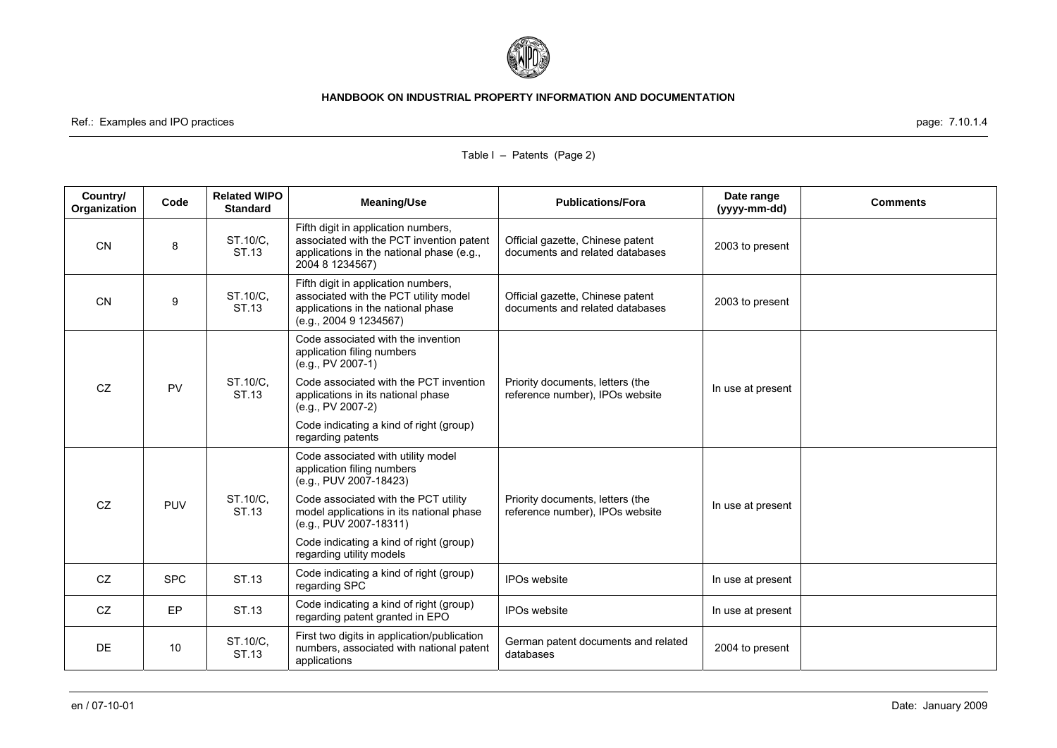

Ref.: Examples and IPO practices page: 7.10.1.4

| Country/<br>Organization | Code       | <b>Related WIPO</b><br><b>Standard</b> | <b>Meaning/Use</b>                                                                                                                              | <b>Publications/Fora</b>                                            | Date range<br>(yyyy-mm-dd) | <b>Comments</b> |
|--------------------------|------------|----------------------------------------|-------------------------------------------------------------------------------------------------------------------------------------------------|---------------------------------------------------------------------|----------------------------|-----------------|
| <b>CN</b>                | 8          | ST.10/C.<br>ST.13                      | Fifth digit in application numbers,<br>associated with the PCT invention patent<br>applications in the national phase (e.g.,<br>2004 8 1234567) | Official gazette, Chinese patent<br>documents and related databases | 2003 to present            |                 |
| <b>CN</b>                | 9          | ST.10/C,<br>ST.13                      | Fifth digit in application numbers,<br>associated with the PCT utility model<br>applications in the national phase<br>(e.g., 2004 9 1234567)    | Official gazette, Chinese patent<br>documents and related databases | 2003 to present            |                 |
|                          |            |                                        | Code associated with the invention<br>application filing numbers<br>$(e.g., PV 2007-1)$                                                         |                                                                     |                            |                 |
| CZ                       | <b>PV</b>  | ST.10/C.<br>ST.13                      | Code associated with the PCT invention<br>applications in its national phase<br>(e.g., PV 2007-2)                                               | Priority documents, letters (the<br>reference number), IPOs website | In use at present          |                 |
|                          |            |                                        | Code indicating a kind of right (group)<br>regarding patents                                                                                    |                                                                     |                            |                 |
|                          |            |                                        | Code associated with utility model<br>application filing numbers<br>(e.g., PUV 2007-18423)                                                      |                                                                     |                            |                 |
| CZ                       | <b>PUV</b> | ST.10/C.<br>ST.13                      | Code associated with the PCT utility<br>model applications in its national phase<br>(e.g., PUV 2007-18311)                                      | Priority documents, letters (the<br>reference number), IPOs website | In use at present          |                 |
|                          |            |                                        | Code indicating a kind of right (group)<br>regarding utility models                                                                             |                                                                     |                            |                 |
| CZ                       | <b>SPC</b> | ST.13                                  | Code indicating a kind of right (group)<br>regarding SPC                                                                                        | <b>IPOs website</b>                                                 | In use at present          |                 |
| CZ                       | EP         | ST.13                                  | Code indicating a kind of right (group)<br>regarding patent granted in EPO                                                                      | <b>IPOs website</b>                                                 | In use at present          |                 |
| <b>DE</b>                | 10         | ST.10/C,<br>ST.13                      | First two digits in application/publication<br>numbers, associated with national patent<br>applications                                         | German patent documents and related<br>databases                    | 2004 to present            |                 |

### Table I – Patents (Page 2)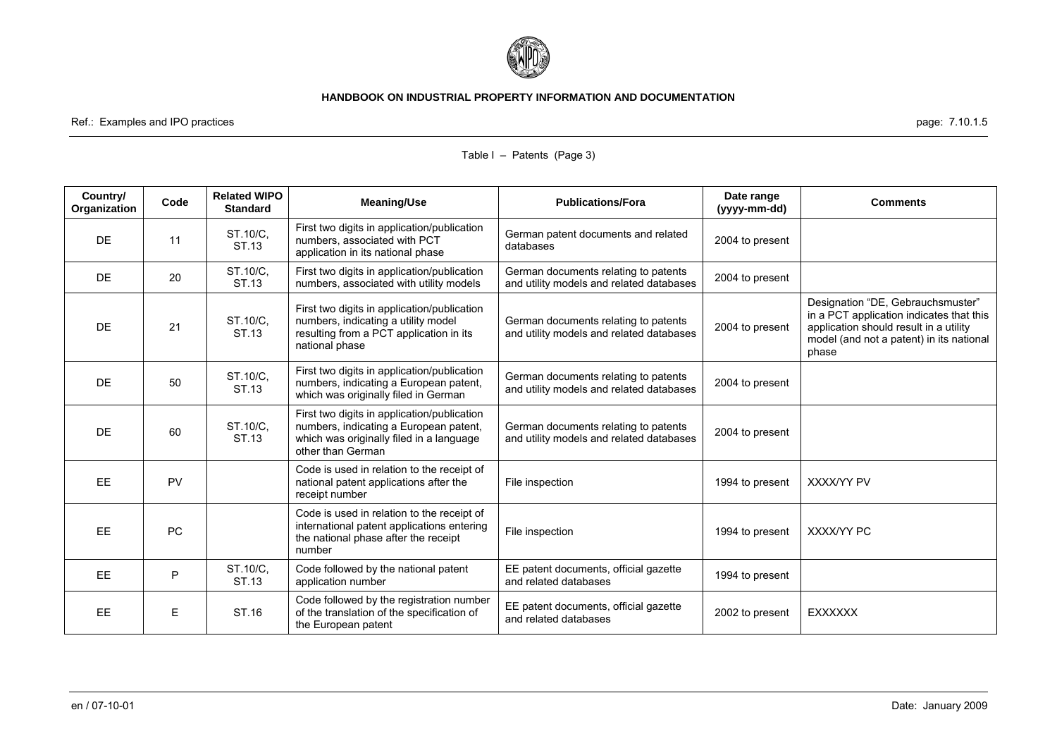

Ref.: Examples and IPO practices page: 7.10.1.5

| Country/<br>Organization | Code      | <b>Related WIPO</b><br><b>Standard</b> | <b>Meaning/Use</b>                                                                                                                                     | <b>Publications/Fora</b>                                                         | Date range<br>(yyyy-mm-dd) | <b>Comments</b>                                                                                                                                                              |
|--------------------------|-----------|----------------------------------------|--------------------------------------------------------------------------------------------------------------------------------------------------------|----------------------------------------------------------------------------------|----------------------------|------------------------------------------------------------------------------------------------------------------------------------------------------------------------------|
| <b>DE</b>                | 11        | ST.10/C,<br>ST.13                      | First two digits in application/publication<br>numbers, associated with PCT<br>application in its national phase                                       | German patent documents and related<br>databases                                 | 2004 to present            |                                                                                                                                                                              |
| <b>DE</b>                | 20        | ST.10/C,<br>ST.13                      | First two digits in application/publication<br>numbers, associated with utility models                                                                 | German documents relating to patents<br>and utility models and related databases | 2004 to present            |                                                                                                                                                                              |
| <b>DE</b>                | 21        | ST.10/C.<br>ST.13                      | First two digits in application/publication<br>numbers, indicating a utility model<br>resulting from a PCT application in its<br>national phase        | German documents relating to patents<br>and utility models and related databases | 2004 to present            | Designation "DE, Gebrauchsmuster"<br>in a PCT application indicates that this<br>application should result in a utility<br>model (and not a patent) in its national<br>phase |
| <b>DE</b>                | 50        | ST.10/C,<br>ST.13                      | First two digits in application/publication<br>numbers, indicating a European patent,<br>which was originally filed in German                          | German documents relating to patents<br>and utility models and related databases | 2004 to present            |                                                                                                                                                                              |
| <b>DE</b>                | 60        | ST.10/C.<br>ST.13                      | First two digits in application/publication<br>numbers, indicating a European patent,<br>which was originally filed in a language<br>other than German | German documents relating to patents<br>and utility models and related databases | 2004 to present            |                                                                                                                                                                              |
| EE.                      | <b>PV</b> |                                        | Code is used in relation to the receipt of<br>national patent applications after the<br>receipt number                                                 | File inspection                                                                  | 1994 to present            | <b>XXXX/YY PV</b>                                                                                                                                                            |
| EE                       | PC        |                                        | Code is used in relation to the receipt of<br>international patent applications entering<br>the national phase after the receipt<br>number             | File inspection                                                                  | 1994 to present            | XXXX/YY PC                                                                                                                                                                   |
| <b>EE</b>                | P         | ST.10/C.<br>ST.13                      | Code followed by the national patent<br>application number                                                                                             | EE patent documents, official gazette<br>and related databases                   | 1994 to present            |                                                                                                                                                                              |
| EE.                      | E         | ST.16                                  | Code followed by the registration number<br>of the translation of the specification of<br>the European patent                                          | EE patent documents, official gazette<br>and related databases                   | 2002 to present            | <b>EXXXXXX</b>                                                                                                                                                               |

# Table I – Patents (Page 3)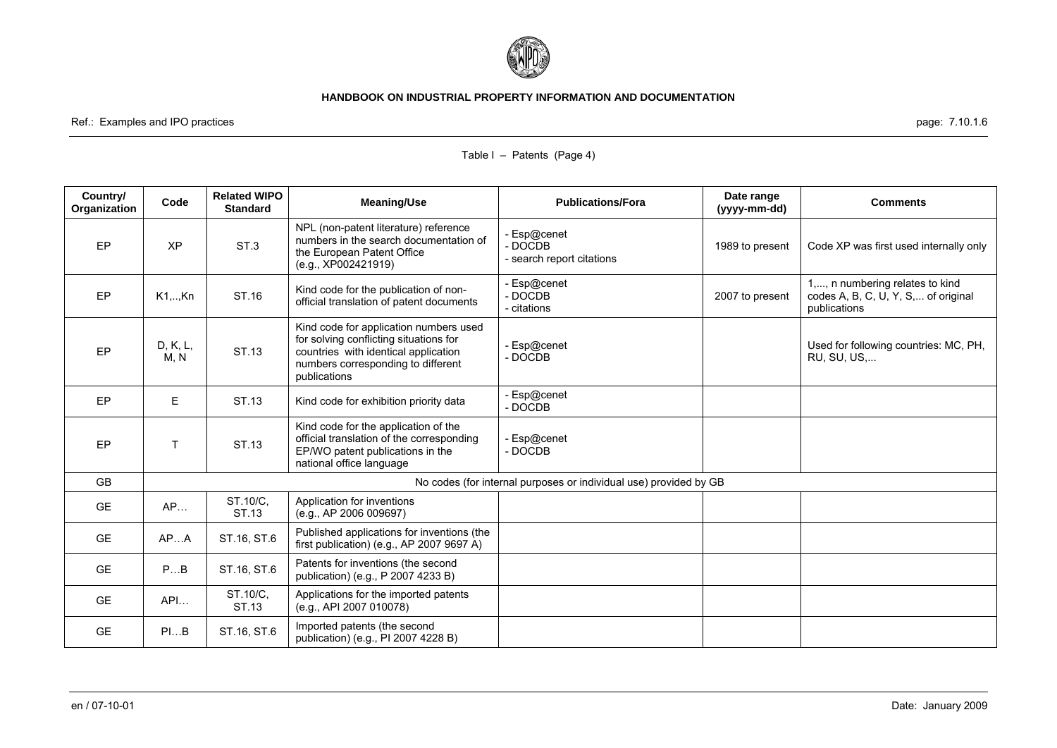

Ref.: Examples and IPO practices page: 7.10.1.6

| Country/<br>Organization | Code             | <b>Related WIPO</b><br><b>Standard</b> | <b>Meaning/Use</b>                                                                                                                                                             | <b>Publications/Fora</b>                                          | Date range<br>(yyyy-mm-dd) | <b>Comments</b>                                                                        |
|--------------------------|------------------|----------------------------------------|--------------------------------------------------------------------------------------------------------------------------------------------------------------------------------|-------------------------------------------------------------------|----------------------------|----------------------------------------------------------------------------------------|
| EP                       | <b>XP</b>        | ST <sub>3</sub>                        | NPL (non-patent literature) reference<br>numbers in the search documentation of<br>the European Patent Office<br>(e.g., XP002421919)                                           | Esp@cenet<br>- DOCDB<br>- search report citations                 | 1989 to present            | Code XP was first used internally only                                                 |
| EP                       | $K1, \ldots, Kn$ | ST.16                                  | Kind code for the publication of non-<br>official translation of patent documents                                                                                              | Esp@cenet<br>- DOCDB<br>- citations                               | 2007 to present            | 1,, n numbering relates to kind<br>codes A, B, C, U, Y, S, of original<br>publications |
| EP                       | D, K, L,<br>M. N | ST.13                                  | Kind code for application numbers used<br>for solving conflicting situations for<br>countries with identical application<br>numbers corresponding to different<br>publications | Esp@cenet<br>- DOCDB                                              |                            | Used for following countries: MC, PH,<br>RU, SU, US,                                   |
| EP                       | E                | ST.13                                  | Kind code for exhibition priority data                                                                                                                                         | Esp@cenet<br>- DOCDB                                              |                            |                                                                                        |
| EP                       | T                | ST.13                                  | Kind code for the application of the<br>official translation of the corresponding<br>EP/WO patent publications in the<br>national office language                              | Esp@cenet<br>- DOCDB                                              |                            |                                                                                        |
| <b>GB</b>                |                  |                                        |                                                                                                                                                                                | No codes (for internal purposes or individual use) provided by GB |                            |                                                                                        |
| <b>GE</b>                | AP               | ST.10/C,<br>ST.13                      | Application for inventions<br>(e.g., AP 2006 009697)                                                                                                                           |                                                                   |                            |                                                                                        |
| <b>GE</b>                | APA              | ST.16, ST.6                            | Published applications for inventions (the<br>first publication) (e.g., AP 2007 9697 A)                                                                                        |                                                                   |                            |                                                                                        |
| <b>GE</b>                | PB               | ST.16, ST.6                            | Patents for inventions (the second<br>publication) (e.g., P 2007 4233 B)                                                                                                       |                                                                   |                            |                                                                                        |
| <b>GE</b>                | API              | ST.10/C,<br>ST.13                      | Applications for the imported patents<br>(e.g., API 2007 010078)                                                                                                               |                                                                   |                            |                                                                                        |
| <b>GE</b>                | PIB              | ST.16, ST.6                            | Imported patents (the second<br>publication) (e.g., PI 2007 4228 B)                                                                                                            |                                                                   |                            |                                                                                        |

# Table I – Patents (Page 4)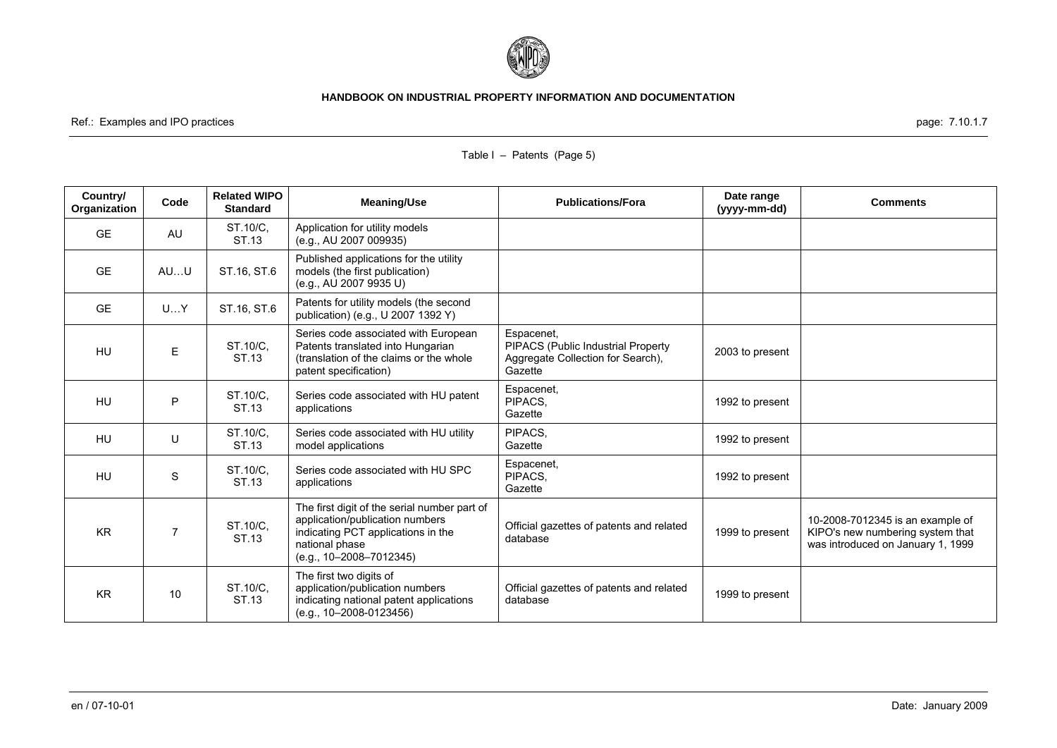

## Ref.: Examples and IPO practices page: 7.10.1.7

| Country/<br>Organization | Code           | <b>Related WIPO</b><br><b>Standard</b> | <b>Meaning/Use</b>                                                                                                                                                   | <b>Publications/Fora</b>                                                                         | Date range<br>(yyyy-mm-dd) | <b>Comments</b>                                                                                           |
|--------------------------|----------------|----------------------------------------|----------------------------------------------------------------------------------------------------------------------------------------------------------------------|--------------------------------------------------------------------------------------------------|----------------------------|-----------------------------------------------------------------------------------------------------------|
| <b>GE</b>                | AU             | ST.10/C,<br>ST.13                      | Application for utility models<br>(e.g., AU 2007 009935)                                                                                                             |                                                                                                  |                            |                                                                                                           |
| <b>GE</b>                | AUU            | ST.16, ST.6                            | Published applications for the utility<br>models (the first publication)<br>(e.g., AU 2007 9935 U)                                                                   |                                                                                                  |                            |                                                                                                           |
| <b>GE</b>                | UY             | ST.16, ST.6                            | Patents for utility models (the second<br>publication) (e.g., U 2007 1392 Y)                                                                                         |                                                                                                  |                            |                                                                                                           |
| <b>HU</b>                | E              | ST.10/C.<br>ST.13                      | Series code associated with European<br>Patents translated into Hungarian<br>(translation of the claims or the whole<br>patent specification)                        | Espacenet,<br>PIPACS (Public Industrial Property<br>Aggregate Collection for Search),<br>Gazette | 2003 to present            |                                                                                                           |
| <b>HU</b>                | P              | ST.10/C,<br>ST.13                      | Series code associated with HU patent<br>applications                                                                                                                | Espacenet,<br>PIPACS,<br>Gazette                                                                 | 1992 to present            |                                                                                                           |
| HU                       | U              | ST.10/C,<br>ST.13                      | Series code associated with HU utility<br>model applications                                                                                                         | PIPACS.<br>Gazette                                                                               | 1992 to present            |                                                                                                           |
| <b>HU</b>                | S              | ST.10/C,<br>ST.13                      | Series code associated with HU SPC<br>applications                                                                                                                   | Espacenet,<br>PIPACS,<br>Gazette                                                                 | 1992 to present            |                                                                                                           |
| <b>KR</b>                | $\overline{7}$ | ST.10/C,<br>ST.13                      | The first digit of the serial number part of<br>application/publication numbers<br>indicating PCT applications in the<br>national phase<br>$(e.g., 10-2008-7012345)$ | Official gazettes of patents and related<br>database                                             | 1999 to present            | 10-2008-7012345 is an example of<br>KIPO's new numbering system that<br>was introduced on January 1, 1999 |
| <b>KR</b>                | 10             | ST.10/C.<br>ST.13                      | The first two digits of<br>application/publication numbers<br>indicating national patent applications<br>$(e.q., 10-2008-0123456)$                                   | Official gazettes of patents and related<br>database                                             | 1999 to present            |                                                                                                           |

# Table I – Patents (Page 5)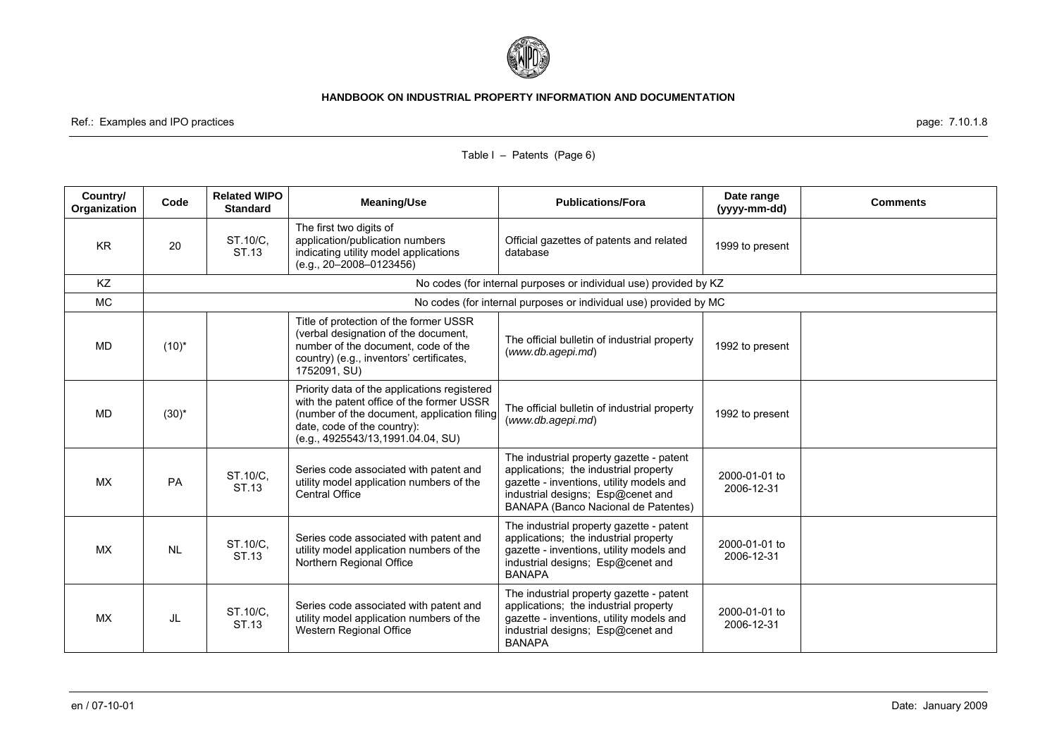

Ref.: Examples and IPO practices page: 7.10.1.8

| Country/<br>Organization | Code       | <b>Related WIPO</b><br><b>Standard</b> | <b>Meaning/Use</b>                                                                                                                                                                                            | <b>Publications/Fora</b>                                                                                                                                                                                  | Date range<br>(yyyy-mm-dd)  | <b>Comments</b> |
|--------------------------|------------|----------------------------------------|---------------------------------------------------------------------------------------------------------------------------------------------------------------------------------------------------------------|-----------------------------------------------------------------------------------------------------------------------------------------------------------------------------------------------------------|-----------------------------|-----------------|
| <b>KR</b>                | 20         | ST.10/C.<br>ST.13                      | The first two digits of<br>application/publication numbers<br>indicating utility model applications<br>$(e.g., 20-2008-0123456)$                                                                              | Official gazettes of patents and related<br>database                                                                                                                                                      | 1999 to present             |                 |
| <b>KZ</b>                |            |                                        |                                                                                                                                                                                                               | No codes (for internal purposes or individual use) provided by KZ                                                                                                                                         |                             |                 |
| <b>MC</b>                |            |                                        |                                                                                                                                                                                                               | No codes (for internal purposes or individual use) provided by MC                                                                                                                                         |                             |                 |
| <b>MD</b>                | $(10)^{*}$ |                                        | Title of protection of the former USSR<br>(verbal designation of the document,<br>number of the document, code of the<br>country) (e.g., inventors' certificates,<br>1752091, SU)                             | The official bulletin of industrial property<br>(www.db.agepi.md)                                                                                                                                         | 1992 to present             |                 |
| MD                       | $(30)^{*}$ |                                        | Priority data of the applications registered<br>with the patent office of the former USSR<br>(number of the document, application filing<br>date, code of the country):<br>(e.g., 4925543/13, 1991.04.04, SU) | The official bulletin of industrial property<br>(www.db.aqepi.md)                                                                                                                                         | 1992 to present             |                 |
| <b>MX</b>                | <b>PA</b>  | ST.10/C,<br>ST.13                      | Series code associated with patent and<br>utility model application numbers of the<br><b>Central Office</b>                                                                                                   | The industrial property gazette - patent<br>applications; the industrial property<br>gazette - inventions, utility models and<br>industrial designs; Esp@cenet and<br>BANAPA (Banco Nacional de Patentes) | 2000-01-01 to<br>2006-12-31 |                 |
| <b>MX</b>                | <b>NL</b>  | ST.10/C,<br>ST.13                      | Series code associated with patent and<br>utility model application numbers of the<br>Northern Regional Office                                                                                                | The industrial property gazette - patent<br>applications; the industrial property<br>gazette - inventions, utility models and<br>industrial designs; Esp@cenet and<br><b>BANAPA</b>                       | 2000-01-01 to<br>2006-12-31 |                 |
| <b>MX</b>                | JL         | ST.10/C,<br>ST.13                      | Series code associated with patent and<br>utility model application numbers of the<br>Western Regional Office                                                                                                 | The industrial property gazette - patent<br>applications; the industrial property<br>gazette - inventions, utility models and<br>industrial designs; Esp@cenet and<br><b>BANAPA</b>                       | 2000-01-01 to<br>2006-12-31 |                 |

# Table I – Patents (Page 6)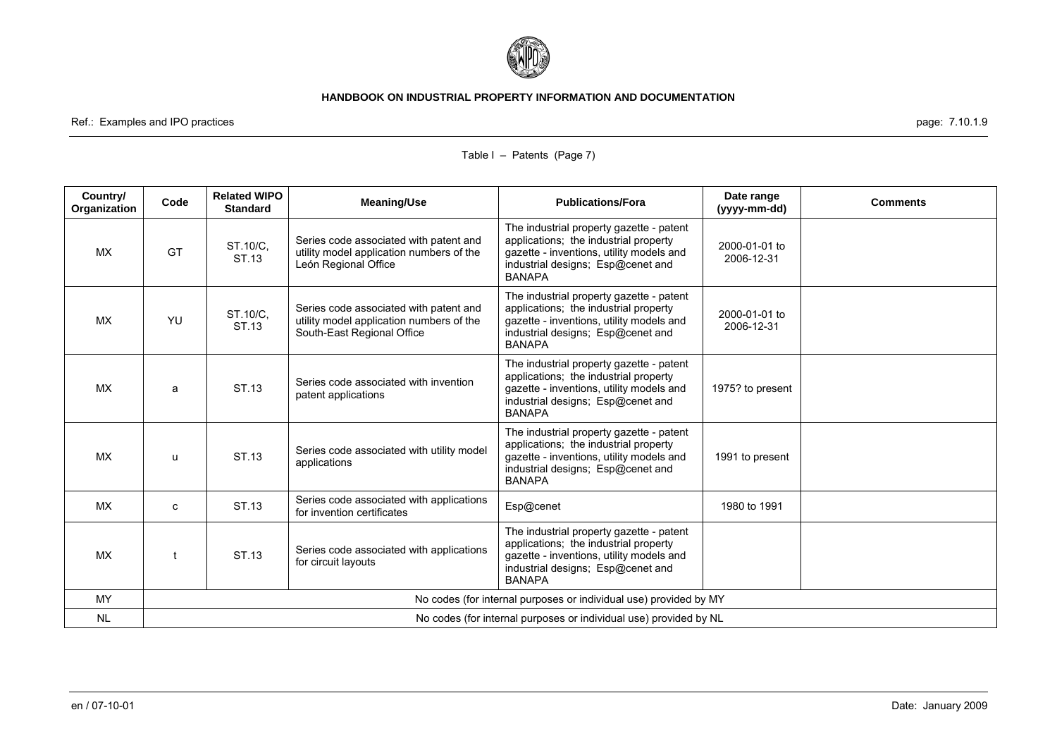

Ref.: Examples and IPO practices page: 7.10.1.9

| Country/<br>Organization | Code                                                              | <b>Related WIPO</b><br><b>Standard</b> | <b>Meaning/Use</b>                                                                                               | <b>Publications/Fora</b>                                                                                                                                                            | Date range<br>(yyyy-mm-dd)  | <b>Comments</b> |
|--------------------------|-------------------------------------------------------------------|----------------------------------------|------------------------------------------------------------------------------------------------------------------|-------------------------------------------------------------------------------------------------------------------------------------------------------------------------------------|-----------------------------|-----------------|
| <b>MX</b>                | GT                                                                | ST.10/C,<br>ST.13                      | Series code associated with patent and<br>utility model application numbers of the<br>León Regional Office       | The industrial property gazette - patent<br>applications; the industrial property<br>gazette - inventions, utility models and<br>industrial designs; Esp@cenet and<br><b>BANAPA</b> | 2000-01-01 to<br>2006-12-31 |                 |
| <b>MX</b>                | YU                                                                | ST.10/C,<br>ST.13                      | Series code associated with patent and<br>utility model application numbers of the<br>South-East Regional Office | The industrial property gazette - patent<br>applications; the industrial property<br>gazette - inventions, utility models and<br>industrial designs; Esp@cenet and<br><b>BANAPA</b> | 2000-01-01 to<br>2006-12-31 |                 |
| МX                       | a                                                                 | ST.13                                  | Series code associated with invention<br>patent applications                                                     | The industrial property gazette - patent<br>applications; the industrial property<br>gazette - inventions, utility models and<br>industrial designs; Esp@cenet and<br><b>BANAPA</b> | 1975? to present            |                 |
| <b>MX</b>                | u                                                                 | ST.13                                  | Series code associated with utility model<br>applications                                                        | The industrial property gazette - patent<br>applications; the industrial property<br>gazette - inventions, utility models and<br>industrial designs; Esp@cenet and<br><b>BANAPA</b> | 1991 to present             |                 |
| <b>MX</b>                | C                                                                 | ST.13                                  | Series code associated with applications<br>for invention certificates                                           | Esp@cenet                                                                                                                                                                           | 1980 to 1991                |                 |
| <b>MX</b>                |                                                                   | ST.13                                  | Series code associated with applications<br>for circuit layouts                                                  | The industrial property gazette - patent<br>applications; the industrial property<br>gazette - inventions, utility models and<br>industrial designs; Esp@cenet and<br><b>BANAPA</b> |                             |                 |
| MY                       | No codes (for internal purposes or individual use) provided by MY |                                        |                                                                                                                  |                                                                                                                                                                                     |                             |                 |
| <b>NL</b>                |                                                                   |                                        |                                                                                                                  | No codes (for internal purposes or individual use) provided by NL                                                                                                                   |                             |                 |

# Table I – Patents (Page 7)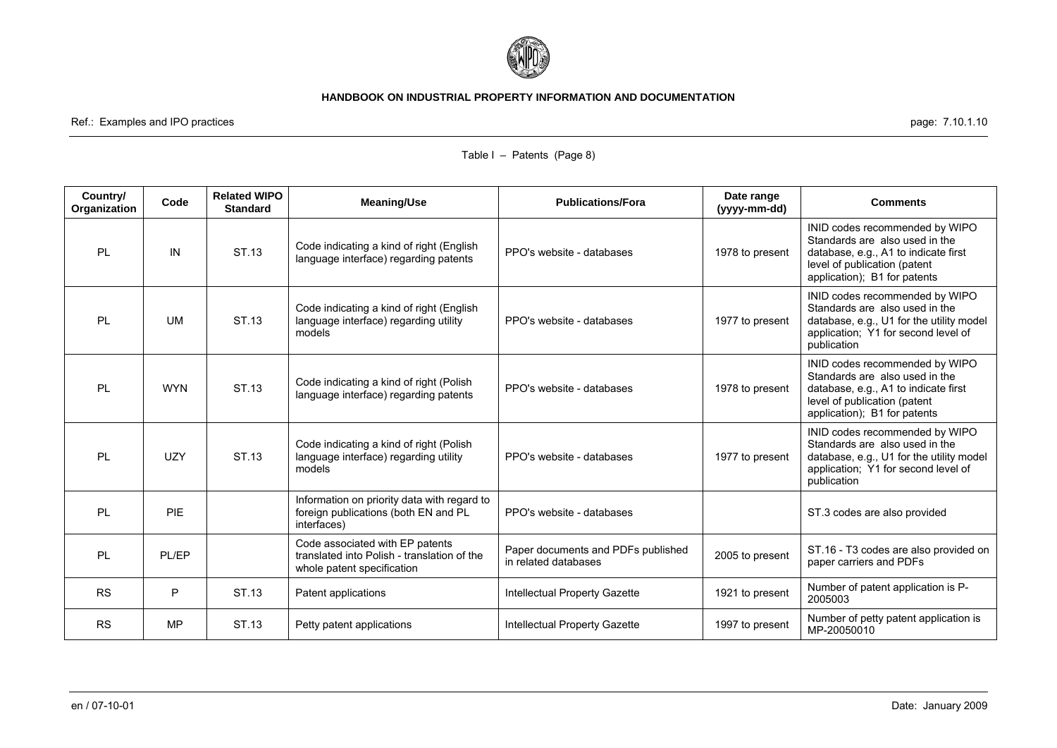

Ref.: Examples and IPO practices page: 7.10.1.10

| Country/<br>Organization | Code       | <b>Related WIPO</b><br><b>Standard</b> | <b>Meaning/Use</b>                                                                                           | <b>Publications/Fora</b>                                   | Date range<br>(yyyy-mm-dd) | <b>Comments</b>                                                                                                                                                          |
|--------------------------|------------|----------------------------------------|--------------------------------------------------------------------------------------------------------------|------------------------------------------------------------|----------------------------|--------------------------------------------------------------------------------------------------------------------------------------------------------------------------|
| <b>PL</b>                | IN         | ST.13                                  | Code indicating a kind of right (English<br>language interface) regarding patents                            | PPO's website - databases                                  | 1978 to present            | INID codes recommended by WIPO<br>Standards are also used in the<br>database, e.g., A1 to indicate first<br>level of publication (patent<br>application); B1 for patents |
| <b>PL</b>                | <b>UM</b>  | ST.13                                  | Code indicating a kind of right (English<br>language interface) regarding utility<br>models                  | PPO's website - databases                                  | 1977 to present            | INID codes recommended by WIPO<br>Standards are also used in the<br>database, e.g., U1 for the utility model<br>application; Y1 for second level of<br>publication       |
| PL                       | <b>WYN</b> | ST.13                                  | Code indicating a kind of right (Polish<br>language interface) regarding patents                             | PPO's website - databases                                  | 1978 to present            | INID codes recommended by WIPO<br>Standards are also used in the<br>database, e.g., A1 to indicate first<br>level of publication (patent<br>application); B1 for patents |
| <b>PL</b>                | UZY        | ST.13                                  | Code indicating a kind of right (Polish<br>language interface) regarding utility<br>models                   | PPO's website - databases                                  | 1977 to present            | INID codes recommended by WIPO<br>Standards are also used in the<br>database, e.g., U1 for the utility model<br>application; Y1 for second level of<br>publication       |
| <b>PL</b>                | PIE        |                                        | Information on priority data with regard to<br>foreign publications (both EN and PL<br>interfaces)           | PPO's website - databases                                  |                            | ST.3 codes are also provided                                                                                                                                             |
| <b>PL</b>                | PL/EP      |                                        | Code associated with EP patents<br>translated into Polish - translation of the<br>whole patent specification | Paper documents and PDFs published<br>in related databases | 2005 to present            | ST.16 - T3 codes are also provided on<br>paper carriers and PDFs                                                                                                         |
| <b>RS</b>                | P          | ST.13                                  | Patent applications                                                                                          | Intellectual Property Gazette                              | 1921 to present            | Number of patent application is P-<br>2005003                                                                                                                            |
| <b>RS</b>                | <b>MP</b>  | ST.13                                  | Petty patent applications                                                                                    | Intellectual Property Gazette                              | 1997 to present            | Number of petty patent application is<br>MP-20050010                                                                                                                     |

# Table I – Patents (Page 8)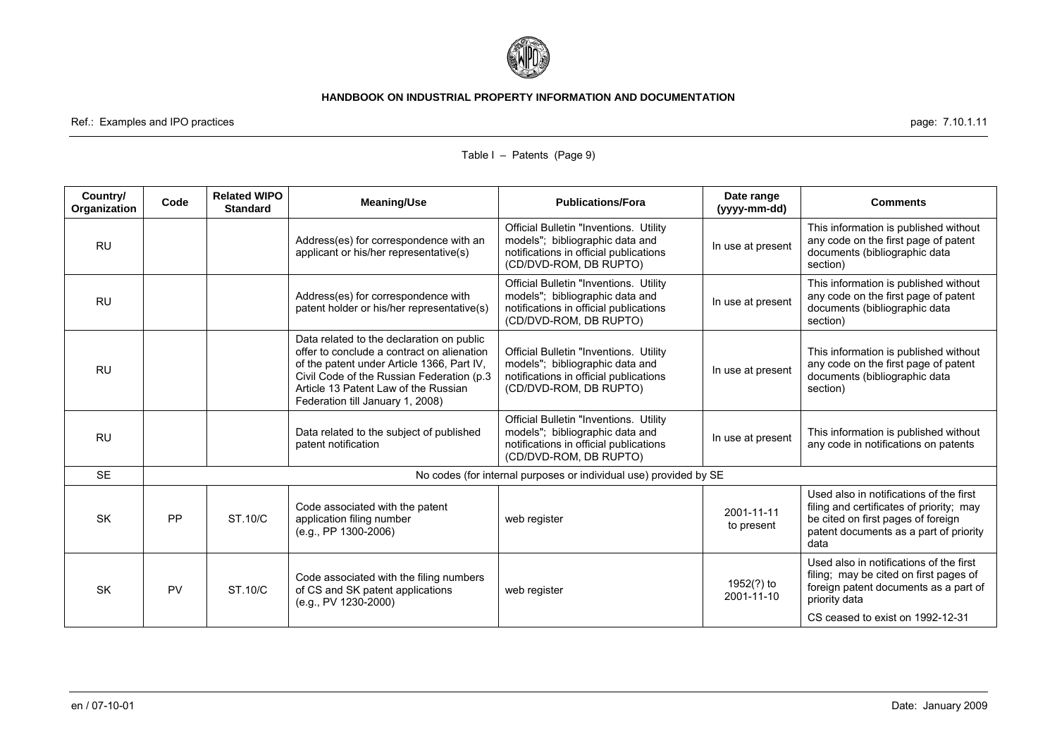

Ref.: Examples and IPO practices page: 7.10.1.11

| Country/<br>Organization | Code      | <b>Related WIPO</b><br><b>Standard</b> | <b>Meaning/Use</b>                                                                                                                                                                                                                                              | <b>Publications/Fora</b>                                                                                                                             | Date range<br>(yyyy-mm-dd) | <b>Comments</b>                                                                                                                                                                 |
|--------------------------|-----------|----------------------------------------|-----------------------------------------------------------------------------------------------------------------------------------------------------------------------------------------------------------------------------------------------------------------|------------------------------------------------------------------------------------------------------------------------------------------------------|----------------------------|---------------------------------------------------------------------------------------------------------------------------------------------------------------------------------|
| <b>RU</b>                |           |                                        | Address(es) for correspondence with an<br>applicant or his/her representative(s)                                                                                                                                                                                | <b>Official Bulletin "Inventions. Utility</b><br>models"; bibliographic data and<br>notifications in official publications<br>(CD/DVD-ROM, DB RUPTO) | In use at present          | This information is published without<br>any code on the first page of patent<br>documents (bibliographic data<br>section)                                                      |
| <b>RU</b>                |           |                                        | Address(es) for correspondence with<br>patent holder or his/her representative(s)                                                                                                                                                                               | Official Bulletin "Inventions. Utility<br>models"; bibliographic data and<br>notifications in official publications<br>(CD/DVD-ROM, DB RUPTO)        | In use at present          | This information is published without<br>any code on the first page of patent<br>documents (bibliographic data<br>section)                                                      |
| <b>RU</b>                |           |                                        | Data related to the declaration on public<br>offer to conclude a contract on alienation<br>of the patent under Article 1366, Part IV,<br>Civil Code of the Russian Federation (p.3)<br>Article 13 Patent Law of the Russian<br>Federation till January 1, 2008) | Official Bulletin "Inventions. Utility<br>models"; bibliographic data and<br>notifications in official publications<br>(CD/DVD-ROM, DB RUPTO)        | In use at present          | This information is published without<br>any code on the first page of patent<br>documents (bibliographic data<br>section)                                                      |
| <b>RU</b>                |           |                                        | Data related to the subject of published<br>patent notification                                                                                                                                                                                                 | Official Bulletin "Inventions. Utility<br>models", bibliographic data and<br>notifications in official publications<br>(CD/DVD-ROM, DB RUPTO)        | In use at present          | This information is published without<br>any code in notifications on patents                                                                                                   |
| <b>SE</b>                |           |                                        |                                                                                                                                                                                                                                                                 | No codes (for internal purposes or individual use) provided by SE                                                                                    |                            |                                                                                                                                                                                 |
| <b>SK</b>                | PP        | ST.10/C                                | Code associated with the patent<br>application filing number<br>$(e.g., PP 1300-2006)$                                                                                                                                                                          | web register                                                                                                                                         | 2001-11-11<br>to present   | Used also in notifications of the first<br>filing and certificates of priority; may<br>be cited on first pages of foreign<br>patent documents as a part of priority<br>data     |
| <b>SK</b>                | <b>PV</b> | ST.10/C                                | Code associated with the filing numbers<br>of CS and SK patent applications<br>$(e.g., PV 1230-2000)$                                                                                                                                                           | web register                                                                                                                                         | 1952(?) to<br>2001-11-10   | Used also in notifications of the first<br>filing; may be cited on first pages of<br>foreign patent documents as a part of<br>priority data<br>CS ceased to exist on 1992-12-31 |

# Table I – Patents (Page 9)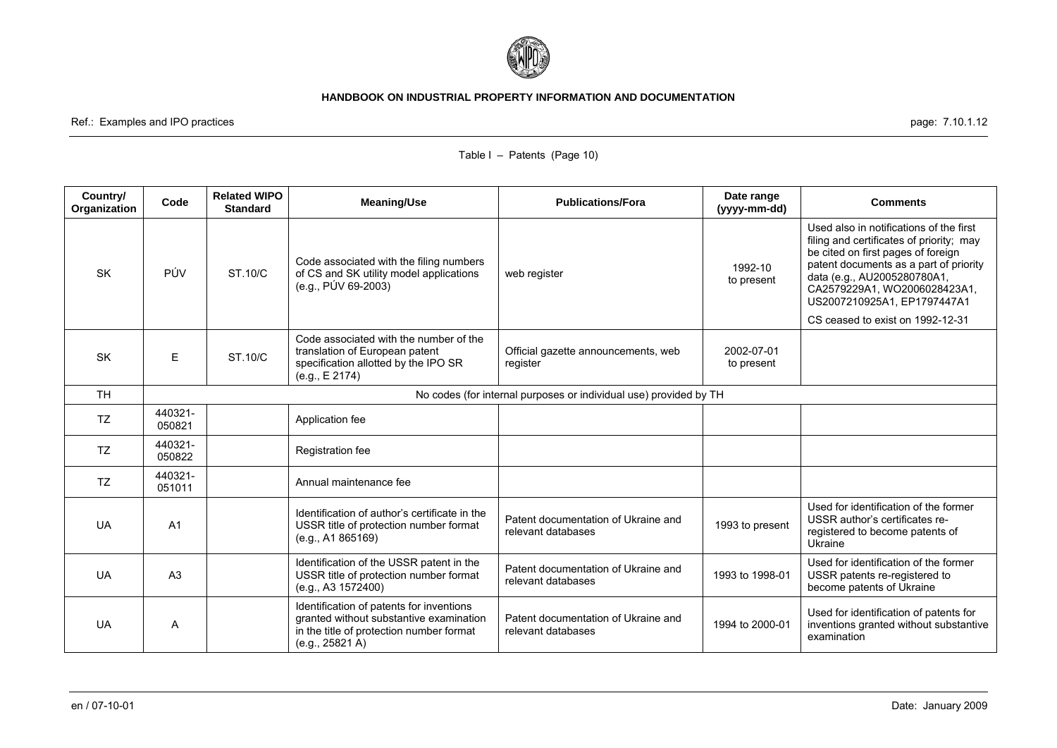

Ref.: Examples and IPO practices page: 7.10.1.12

| Country/<br>Organization | Code                                                              | <b>Related WIPO</b><br><b>Standard</b> | <b>Meaning/Use</b>                                                                                                                                 | <b>Publications/Fora</b>                                  | Date range<br>(yyyy-mm-dd) | <b>Comments</b>                                                                                                                                                                                                                                                   |  |
|--------------------------|-------------------------------------------------------------------|----------------------------------------|----------------------------------------------------------------------------------------------------------------------------------------------------|-----------------------------------------------------------|----------------------------|-------------------------------------------------------------------------------------------------------------------------------------------------------------------------------------------------------------------------------------------------------------------|--|
| <b>SK</b>                | PÚV                                                               | ST.10/C                                | Code associated with the filing numbers<br>of CS and SK utility model applications<br>(e.g., PÚV 69-2003)                                          | web register                                              | 1992-10<br>to present      | Used also in notifications of the first<br>filing and certificates of priority; may<br>be cited on first pages of foreign<br>patent documents as a part of priority<br>data (e.g., AU2005280780A1,<br>CA2579229A1, WO2006028423A1,<br>US2007210925A1, EP1797447A1 |  |
|                          |                                                                   |                                        |                                                                                                                                                    |                                                           |                            | CS ceased to exist on 1992-12-31                                                                                                                                                                                                                                  |  |
| <b>SK</b>                | E                                                                 | <b>ST.10/C</b>                         | Code associated with the number of the<br>translation of European patent<br>specification allotted by the IPO SR<br>(e.g., E 2174)                 | Official gazette announcements, web<br>register           | 2002-07-01<br>to present   |                                                                                                                                                                                                                                                                   |  |
| <b>TH</b>                | No codes (for internal purposes or individual use) provided by TH |                                        |                                                                                                                                                    |                                                           |                            |                                                                                                                                                                                                                                                                   |  |
| <b>TZ</b>                | 440321-<br>050821                                                 |                                        | Application fee                                                                                                                                    |                                                           |                            |                                                                                                                                                                                                                                                                   |  |
| TZ                       | 440321-<br>050822                                                 |                                        | Registration fee                                                                                                                                   |                                                           |                            |                                                                                                                                                                                                                                                                   |  |
| <b>TZ</b>                | 440321-<br>051011                                                 |                                        | Annual maintenance fee                                                                                                                             |                                                           |                            |                                                                                                                                                                                                                                                                   |  |
| <b>UA</b>                | A <sub>1</sub>                                                    |                                        | Identification of author's certificate in the<br>USSR title of protection number format<br>(e.g., A1 865169)                                       | Patent documentation of Ukraine and<br>relevant databases | 1993 to present            | Used for identification of the former<br>USSR author's certificates re-<br>registered to become patents of<br>Ukraine                                                                                                                                             |  |
| <b>UA</b>                | A <sub>3</sub>                                                    |                                        | Identification of the USSR patent in the<br>USSR title of protection number format<br>(e.g., A3 1572400)                                           | Patent documentation of Ukraine and<br>relevant databases | 1993 to 1998-01            | Used for identification of the former<br>USSR patents re-registered to<br>become patents of Ukraine                                                                                                                                                               |  |
| <b>UA</b>                | A                                                                 |                                        | Identification of patents for inventions<br>granted without substantive examination<br>in the title of protection number format<br>(e.g., 25821 A) | Patent documentation of Ukraine and<br>relevant databases | 1994 to 2000-01            | Used for identification of patents for<br>inventions granted without substantive<br>examination                                                                                                                                                                   |  |

# Table I – Patents (Page 10)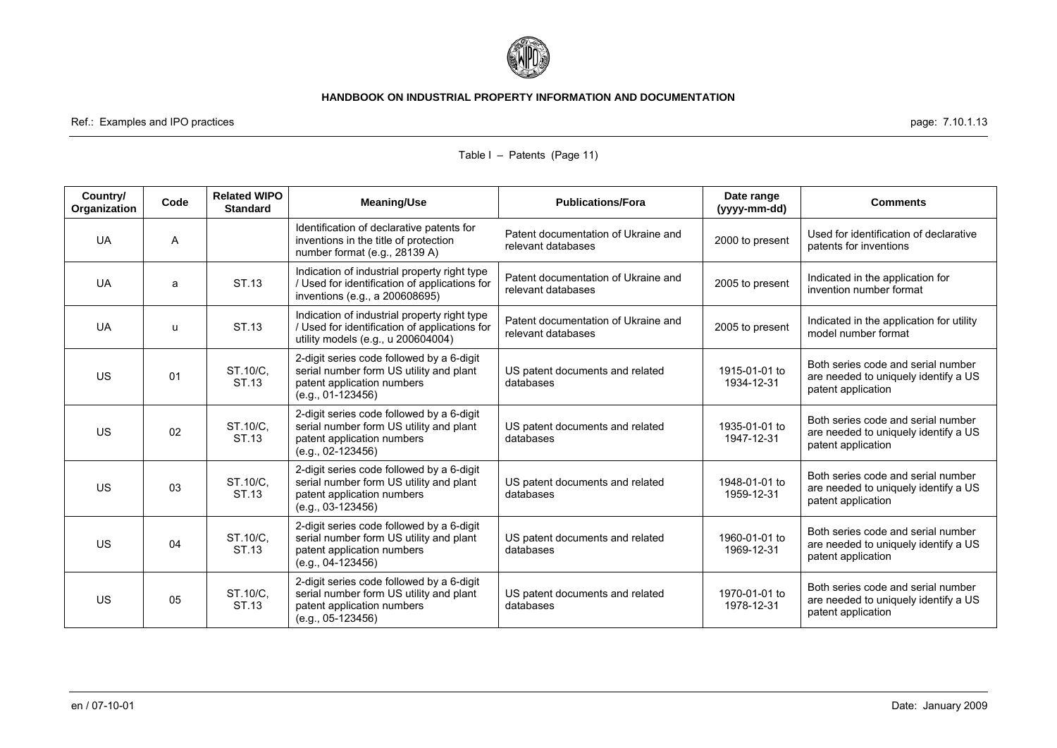

Ref.: Examples and IPO practices page: 7.10.1.13

| Country/<br>Organization | Code | <b>Related WIPO</b><br><b>Standard</b> | <b>Meaning/Use</b>                                                                                                                        | <b>Publications/Fora</b>                                  | Date range<br>(yyyy-mm-dd)  | <b>Comments</b>                                                                                  |
|--------------------------|------|----------------------------------------|-------------------------------------------------------------------------------------------------------------------------------------------|-----------------------------------------------------------|-----------------------------|--------------------------------------------------------------------------------------------------|
| <b>UA</b>                | A    |                                        | Identification of declarative patents for<br>inventions in the title of protection<br>number format (e.g., 28139 A)                       | Patent documentation of Ukraine and<br>relevant databases | 2000 to present             | Used for identification of declarative<br>patents for inventions                                 |
| <b>UA</b>                | a    | ST.13                                  | Indication of industrial property right type<br>/ Used for identification of applications for<br>inventions (e.g., a 200608695)           | Patent documentation of Ukraine and<br>relevant databases | 2005 to present             | Indicated in the application for<br>invention number format                                      |
| <b>UA</b>                | u    | ST.13                                  | Indication of industrial property right type<br>/ Used for identification of applications for<br>utility models (e.g., u 200604004)       | Patent documentation of Ukraine and<br>relevant databases | 2005 to present             | Indicated in the application for utility<br>model number format                                  |
| <b>US</b>                | 01   | ST.10/C,<br>ST.13                      | 2-digit series code followed by a 6-digit<br>serial number form US utility and plant<br>patent application numbers<br>$(e.q., 01-123456)$ | US patent documents and related<br>databases              | 1915-01-01 to<br>1934-12-31 | Both series code and serial number<br>are needed to uniquely identify a US<br>patent application |
| <b>US</b>                | 02   | ST.10/C,<br>ST.13                      | 2-digit series code followed by a 6-digit<br>serial number form US utility and plant<br>patent application numbers<br>$(e.q., 02-123456)$ | US patent documents and related<br>databases              | 1935-01-01 to<br>1947-12-31 | Both series code and serial number<br>are needed to uniquely identify a US<br>patent application |
| <b>US</b>                | 03   | ST.10/C,<br>ST.13                      | 2-digit series code followed by a 6-digit<br>serial number form US utility and plant<br>patent application numbers<br>$(e.g., 03-123456)$ | US patent documents and related<br>databases              | 1948-01-01 to<br>1959-12-31 | Both series code and serial number<br>are needed to uniquely identify a US<br>patent application |
| <b>US</b>                | 04   | ST.10/C,<br>ST.13                      | 2-digit series code followed by a 6-digit<br>serial number form US utility and plant<br>patent application numbers<br>$(e.q., 04-123456)$ | US patent documents and related<br>databases              | 1960-01-01 to<br>1969-12-31 | Both series code and serial number<br>are needed to uniquely identify a US<br>patent application |
| <b>US</b>                | 05   | ST.10/C.<br>ST.13                      | 2-digit series code followed by a 6-digit<br>serial number form US utility and plant<br>patent application numbers<br>$(e.g., 05-123456)$ | US patent documents and related<br>databases              | 1970-01-01 to<br>1978-12-31 | Both series code and serial number<br>are needed to uniquely identify a US<br>patent application |

# Table I – Patents (Page 11)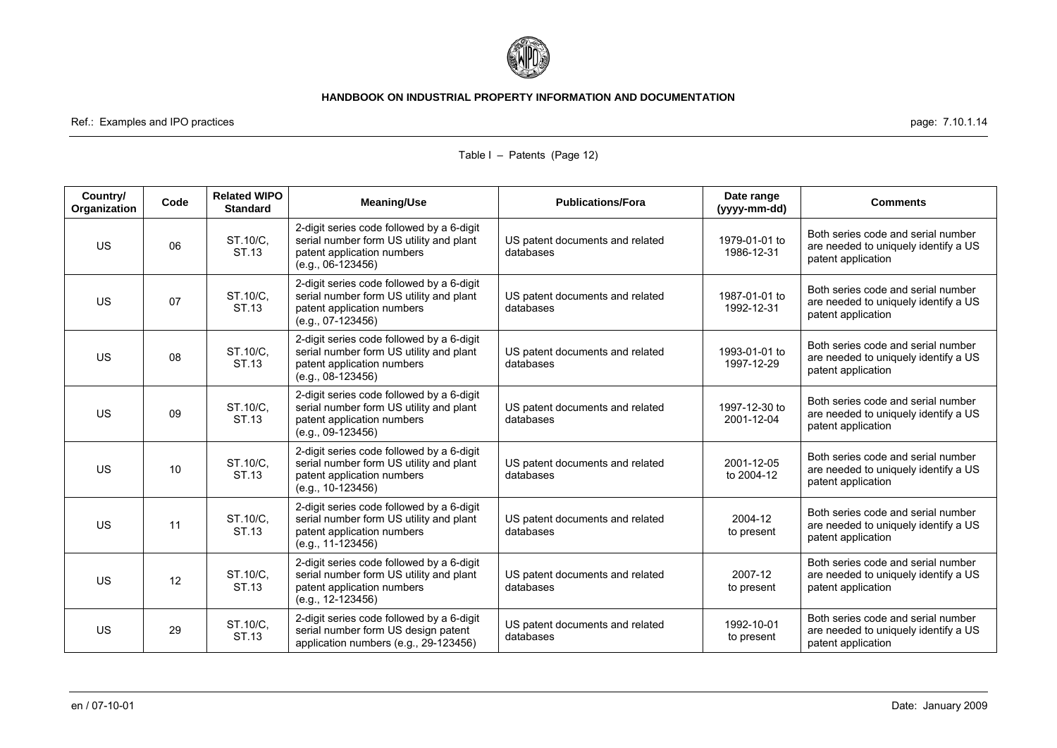

Ref.: Examples and IPO practices **page: 7.10.1.14** and the page: 7.10.1.14

| Country/<br>Organization | Code | <b>Related WIPO</b><br><b>Standard</b> | <b>Meaning/Use</b>                                                                                                                        | <b>Publications/Fora</b>                     | Date range<br>(yyyy-mm-dd)  | <b>Comments</b>                                                                                  |
|--------------------------|------|----------------------------------------|-------------------------------------------------------------------------------------------------------------------------------------------|----------------------------------------------|-----------------------------|--------------------------------------------------------------------------------------------------|
| <b>US</b>                | 06   | ST.10/C,<br>ST.13                      | 2-digit series code followed by a 6-digit<br>serial number form US utility and plant<br>patent application numbers<br>$(e.q., 06-123456)$ | US patent documents and related<br>databases | 1979-01-01 to<br>1986-12-31 | Both series code and serial number<br>are needed to uniquely identify a US<br>patent application |
| <b>US</b>                | 07   | ST.10/C.<br>ST.13                      | 2-digit series code followed by a 6-digit<br>serial number form US utility and plant<br>patent application numbers<br>$(e.g., 07-123456)$ | US patent documents and related<br>databases | 1987-01-01 to<br>1992-12-31 | Both series code and serial number<br>are needed to uniquely identify a US<br>patent application |
| <b>US</b>                | 08   | ST.10/C.<br>ST.13                      | 2-digit series code followed by a 6-digit<br>serial number form US utility and plant<br>patent application numbers<br>$(e.q., 08-123456)$ | US patent documents and related<br>databases | 1993-01-01 to<br>1997-12-29 | Both series code and serial number<br>are needed to uniquely identify a US<br>patent application |
| <b>US</b>                | 09   | ST.10/C.<br>ST.13                      | 2-digit series code followed by a 6-digit<br>serial number form US utility and plant<br>patent application numbers<br>$(e.q., 09-123456)$ | US patent documents and related<br>databases | 1997-12-30 to<br>2001-12-04 | Both series code and serial number<br>are needed to uniquely identify a US<br>patent application |
| <b>US</b>                | 10   | ST.10/C,<br>ST.13                      | 2-digit series code followed by a 6-digit<br>serial number form US utility and plant<br>patent application numbers<br>$(e.g., 10-123456)$ | US patent documents and related<br>databases | 2001-12-05<br>to 2004-12    | Both series code and serial number<br>are needed to uniquely identify a US<br>patent application |
| <b>US</b>                | 11   | ST.10/C,<br>ST.13                      | 2-digit series code followed by a 6-digit<br>serial number form US utility and plant<br>patent application numbers<br>(e.g., 11-123456)   | US patent documents and related<br>databases | 2004-12<br>to present       | Both series code and serial number<br>are needed to uniquely identify a US<br>patent application |
| <b>US</b>                | 12   | ST.10/C,<br>ST.13                      | 2-digit series code followed by a 6-digit<br>serial number form US utility and plant<br>patent application numbers<br>$(e.g., 12-123456)$ | US patent documents and related<br>databases | 2007-12<br>to present       | Both series code and serial number<br>are needed to uniquely identify a US<br>patent application |
| <b>US</b>                | 29   | ST.10/C.<br>ST.13                      | 2-digit series code followed by a 6-digit<br>serial number form US design patent<br>application numbers (e.g., 29-123456)                 | US patent documents and related<br>databases | 1992-10-01<br>to present    | Both series code and serial number<br>are needed to uniquely identify a US<br>patent application |

### Table I – Patents (Page 12)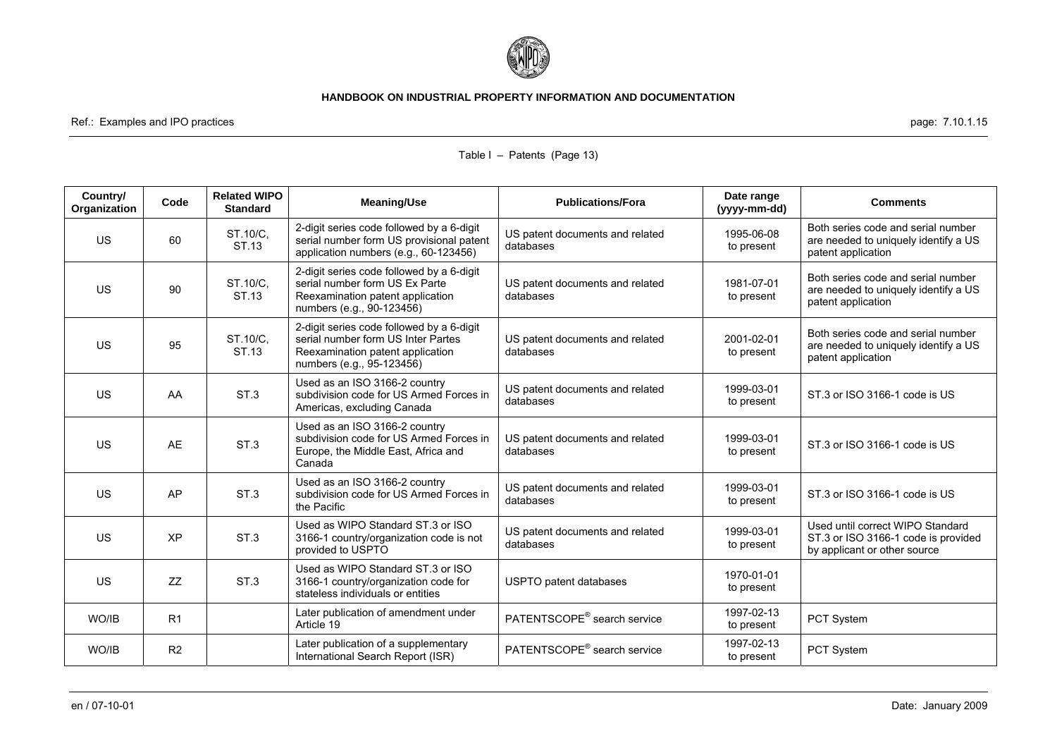

Ref.: Examples and IPO practices page: 7.10.1.15

| Country/<br>Organization | Code           | <b>Related WIPO</b><br><b>Standard</b> | <b>Meaning/Use</b>                                                                                                                               | <b>Publications/Fora</b>                     | Date range<br>(yyyy-mm-dd) | <b>Comments</b>                                                                                         |
|--------------------------|----------------|----------------------------------------|--------------------------------------------------------------------------------------------------------------------------------------------------|----------------------------------------------|----------------------------|---------------------------------------------------------------------------------------------------------|
| <b>US</b>                | 60             | ST.10/C,<br>ST.13                      | 2-digit series code followed by a 6-digit<br>serial number form US provisional patent<br>application numbers (e.g., 60-123456)                   | US patent documents and related<br>databases | 1995-06-08<br>to present   | Both series code and serial number<br>are needed to uniquely identify a US<br>patent application        |
| <b>US</b>                | 90             | ST.10/C,<br>ST.13                      | 2-digit series code followed by a 6-digit<br>serial number form US Ex Parte<br>Reexamination patent application<br>numbers (e.g., 90-123456)     | US patent documents and related<br>databases | 1981-07-01<br>to present   | Both series code and serial number<br>are needed to uniquely identify a US<br>patent application        |
| <b>US</b>                | 95             | ST.10/C,<br>ST.13                      | 2-digit series code followed by a 6-digit<br>serial number form US Inter Partes<br>Reexamination patent application<br>numbers (e.g., 95-123456) | US patent documents and related<br>databases | 2001-02-01<br>to present   | Both series code and serial number<br>are needed to uniquely identify a US<br>patent application        |
| <b>US</b>                | AA             | ST.3                                   | Used as an ISO 3166-2 country<br>subdivision code for US Armed Forces in<br>Americas, excluding Canada                                           | US patent documents and related<br>databases | 1999-03-01<br>to present   | ST.3 or ISO 3166-1 code is US                                                                           |
| <b>US</b>                | <b>AE</b>      | ST.3                                   | Used as an ISO 3166-2 country<br>subdivision code for US Armed Forces in<br>Europe, the Middle East, Africa and<br>Canada                        | US patent documents and related<br>databases | 1999-03-01<br>to present   | ST.3 or ISO 3166-1 code is US                                                                           |
| <b>US</b>                | AP             | ST <sub>3</sub>                        | Used as an ISO 3166-2 country<br>subdivision code for US Armed Forces in<br>the Pacific                                                          | US patent documents and related<br>databases | 1999-03-01<br>to present   | ST.3 or ISO 3166-1 code is US                                                                           |
| <b>US</b>                | <b>XP</b>      | ST.3                                   | Used as WIPO Standard ST.3 or ISO<br>3166-1 country/organization code is not<br>provided to USPTO                                                | US patent documents and related<br>databases | 1999-03-01<br>to present   | Used until correct WIPO Standard<br>ST.3 or ISO 3166-1 code is provided<br>by applicant or other source |
| <b>US</b>                | ZZ             | ST.3                                   | Used as WIPO Standard ST.3 or ISO<br>3166-1 country/organization code for<br>stateless individuals or entities                                   | USPTO patent databases                       | 1970-01-01<br>to present   |                                                                                                         |
| WO/IB                    | R <sub>1</sub> |                                        | Later publication of amendment under<br>Article 19                                                                                               | PATENTSCOPE <sup>®</sup> search service      | 1997-02-13<br>to present   | PCT System                                                                                              |
| WO/IB                    | R2             |                                        | Later publication of a supplementary<br>International Search Report (ISR)                                                                        | PATENTSCOPE <sup>®</sup> search service      | 1997-02-13<br>to present   | PCT System                                                                                              |

### Table I – Patents (Page 13)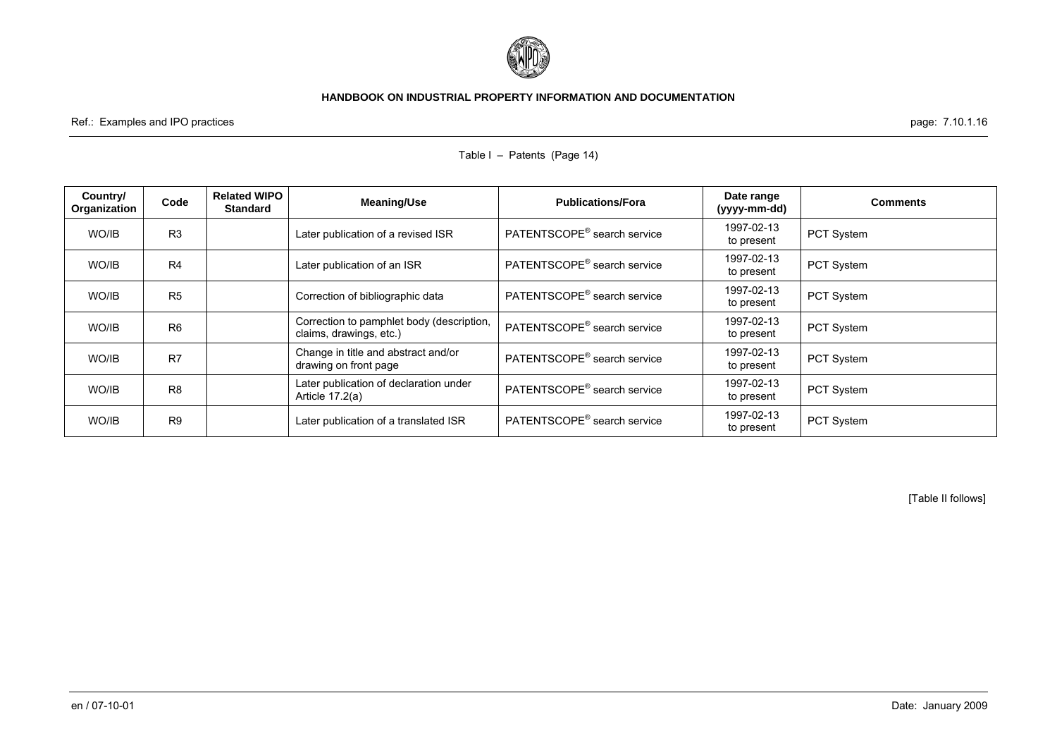

Table I – Patents (Page 14)

Ref.: Examples and IPO practices page: 7.10.1.16

| Country/<br>Organization | Code           | <b>Related WIPO</b><br><b>Standard</b> | Meaning/Use                                                          | <b>Publications/Fora</b>                | Date range<br>(yyyy-mm-dd) | <b>Comments</b>   |
|--------------------------|----------------|----------------------------------------|----------------------------------------------------------------------|-----------------------------------------|----------------------------|-------------------|
| WO/IB                    | R <sub>3</sub> |                                        | Later publication of a revised ISR                                   | PATENTSCOPE <sup>®</sup> search service | 1997-02-13<br>to present   | PCT System        |
| WO/IB                    | R <sub>4</sub> |                                        | Later publication of an ISR                                          | PATENTSCOPE <sup>®</sup> search service | 1997-02-13<br>to present   | PCT System        |
| WO/IB                    | R <sub>5</sub> |                                        | Correction of bibliographic data                                     | PATENTSCOPE <sup>®</sup> search service | 1997-02-13<br>to present   | PCT System        |
| WO/IB                    | R <sub>6</sub> |                                        | Correction to pamphlet body (description,<br>claims, drawings, etc.) | PATENTSCOPE <sup>®</sup> search service | 1997-02-13<br>to present   | <b>PCT System</b> |
| WO/IB                    | R7             |                                        | Change in title and abstract and/or<br>drawing on front page         | PATENTSCOPE <sup>®</sup> search service | 1997-02-13<br>to present   | <b>PCT System</b> |
| WO/IB                    | R <sub>8</sub> |                                        | Later publication of declaration under<br>Article 17.2(a)            | PATENTSCOPE <sup>®</sup> search service | 1997-02-13<br>to present   | PCT System        |
| WO/IB                    | R <sub>9</sub> |                                        | Later publication of a translated ISR                                | PATENTSCOPE <sup>®</sup> search service | 1997-02-13<br>to present   | PCT System        |

[Table II follows]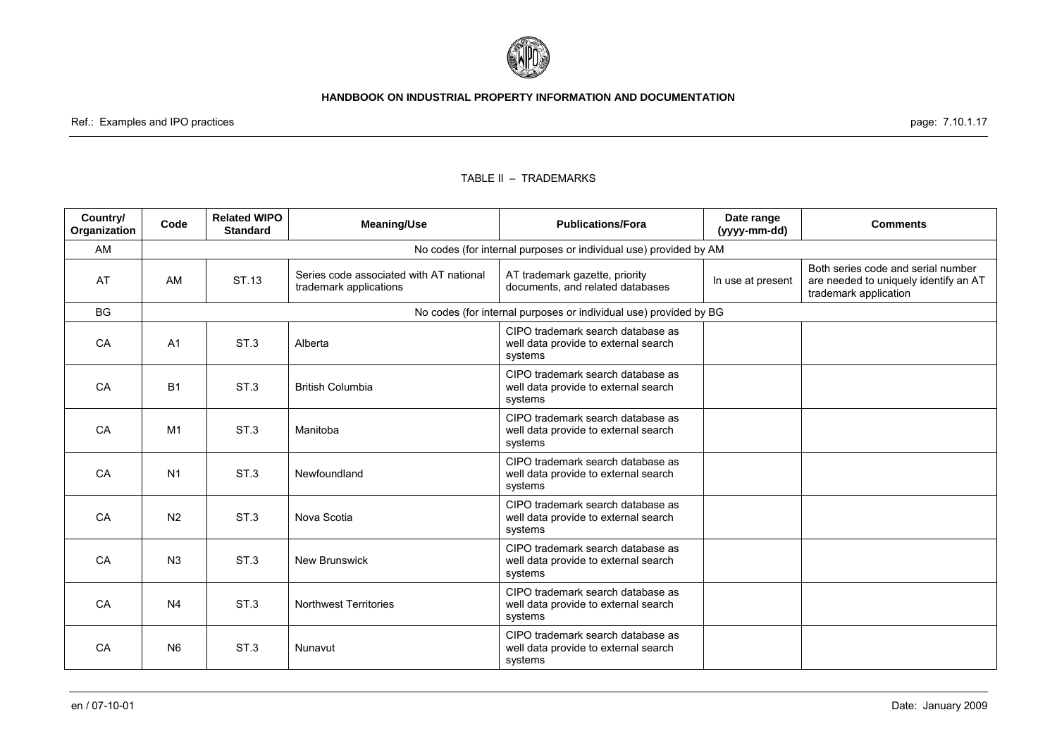

Ref.: Examples and IPO practices page: 7.10.1.17

#### TABLE II – TRADEMARKS

| Country/<br>Organization | Code           | <b>Related WIPO</b><br><b>Standard</b>                            | <b>Meaning/Use</b>                                                | <b>Publications/Fora</b>                                                             | Date range<br>(yyyy-mm-dd) | <b>Comments</b>                                                                                      |  |  |
|--------------------------|----------------|-------------------------------------------------------------------|-------------------------------------------------------------------|--------------------------------------------------------------------------------------|----------------------------|------------------------------------------------------------------------------------------------------|--|--|
| AM                       |                | No codes (for internal purposes or individual use) provided by AM |                                                                   |                                                                                      |                            |                                                                                                      |  |  |
| AT                       | AM             | ST.13                                                             | Series code associated with AT national<br>trademark applications | AT trademark gazette, priority<br>documents, and related databases                   | In use at present          | Both series code and serial number<br>are needed to uniquely identify an AT<br>trademark application |  |  |
| <b>BG</b>                |                |                                                                   |                                                                   | No codes (for internal purposes or individual use) provided by BG                    |                            |                                                                                                      |  |  |
| CA                       | A <sub>1</sub> | ST <sub>3</sub>                                                   | Alberta                                                           | CIPO trademark search database as<br>well data provide to external search<br>systems |                            |                                                                                                      |  |  |
| CA                       | <b>B1</b>      | ST.3                                                              | <b>British Columbia</b>                                           | CIPO trademark search database as<br>well data provide to external search<br>systems |                            |                                                                                                      |  |  |
| CA                       | M <sub>1</sub> | ST <sub>3</sub>                                                   | Manitoba                                                          | CIPO trademark search database as<br>well data provide to external search<br>systems |                            |                                                                                                      |  |  |
| CA                       | N <sub>1</sub> | ST.3                                                              | Newfoundland                                                      | CIPO trademark search database as<br>well data provide to external search<br>systems |                            |                                                                                                      |  |  |
| CA                       | N <sub>2</sub> | ST.3                                                              | Nova Scotia                                                       | CIPO trademark search database as<br>well data provide to external search<br>systems |                            |                                                                                                      |  |  |
| CA                       | N <sub>3</sub> | ST.3                                                              | <b>New Brunswick</b>                                              | CIPO trademark search database as<br>well data provide to external search<br>systems |                            |                                                                                                      |  |  |
| CA                       | N <sub>4</sub> | ST.3                                                              | <b>Northwest Territories</b>                                      | CIPO trademark search database as<br>well data provide to external search<br>systems |                            |                                                                                                      |  |  |
| CA                       | <b>N6</b>      | ST <sub>3</sub>                                                   | Nunavut                                                           | CIPO trademark search database as<br>well data provide to external search<br>systems |                            |                                                                                                      |  |  |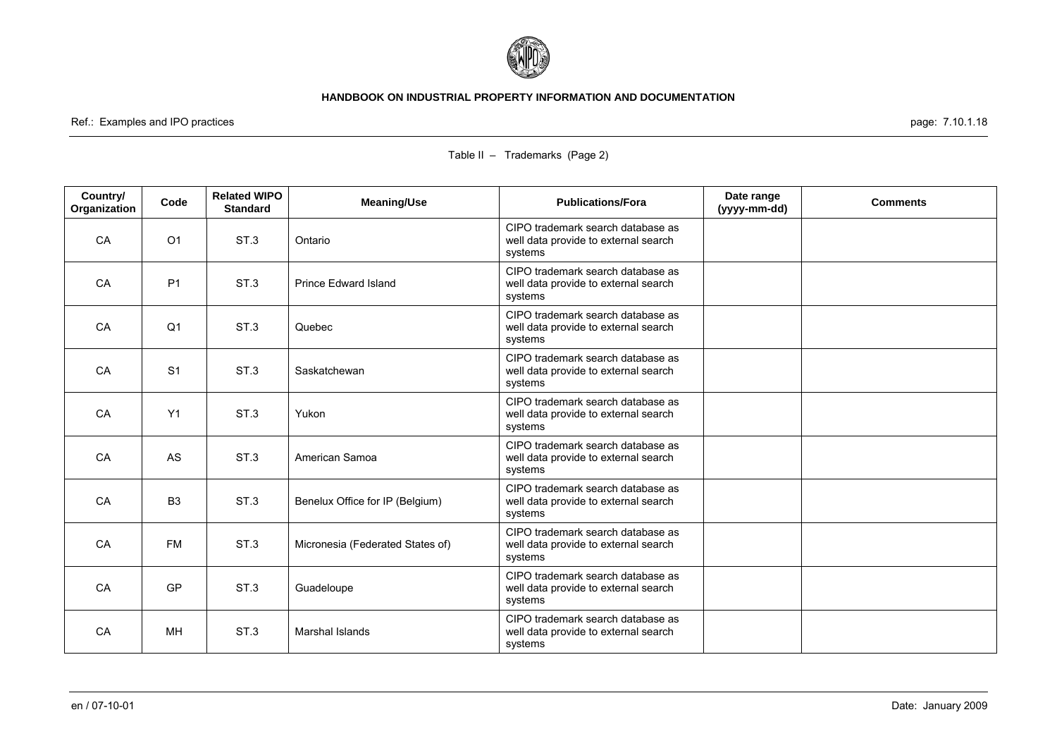

Ref.: Examples and IPO practices page: 7.10.1.18

| Country/           | Code           | <b>Related WIPO</b>                | <b>Meaning/Use</b>               | <b>Publications/Fora</b>                                                             | Date range   | <b>Comments</b> |
|--------------------|----------------|------------------------------------|----------------------------------|--------------------------------------------------------------------------------------|--------------|-----------------|
| Organization<br>CA | O <sub>1</sub> | <b>Standard</b><br>ST <sub>3</sub> | Ontario                          | CIPO trademark search database as<br>well data provide to external search<br>systems | (yyyy-mm-dd) |                 |
| CA                 | P <sub>1</sub> | ST.3                               | <b>Prince Edward Island</b>      | CIPO trademark search database as<br>well data provide to external search<br>systems |              |                 |
| CA                 | Q <sub>1</sub> | ST <sub>3</sub>                    | Quebec                           | CIPO trademark search database as<br>well data provide to external search<br>systems |              |                 |
| CA                 | S <sub>1</sub> | ST.3                               | Saskatchewan                     | CIPO trademark search database as<br>well data provide to external search<br>systems |              |                 |
| CA                 | Y1             | ST <sub>3</sub>                    | Yukon                            | CIPO trademark search database as<br>well data provide to external search<br>systems |              |                 |
| CA                 | AS             | ST.3                               | American Samoa                   | CIPO trademark search database as<br>well data provide to external search<br>systems |              |                 |
| CA                 | B <sub>3</sub> | ST.3                               | Benelux Office for IP (Belgium)  | CIPO trademark search database as<br>well data provide to external search<br>systems |              |                 |
| CA                 | <b>FM</b>      | ST <sub>3</sub>                    | Micronesia (Federated States of) | CIPO trademark search database as<br>well data provide to external search<br>systems |              |                 |
| CA                 | <b>GP</b>      | ST <sub>3</sub>                    | Guadeloupe                       | CIPO trademark search database as<br>well data provide to external search<br>systems |              |                 |
| CA                 | MН             | ST.3                               | Marshal Islands                  | CIPO trademark search database as<br>well data provide to external search<br>systems |              |                 |

### Table II – Trademarks (Page 2)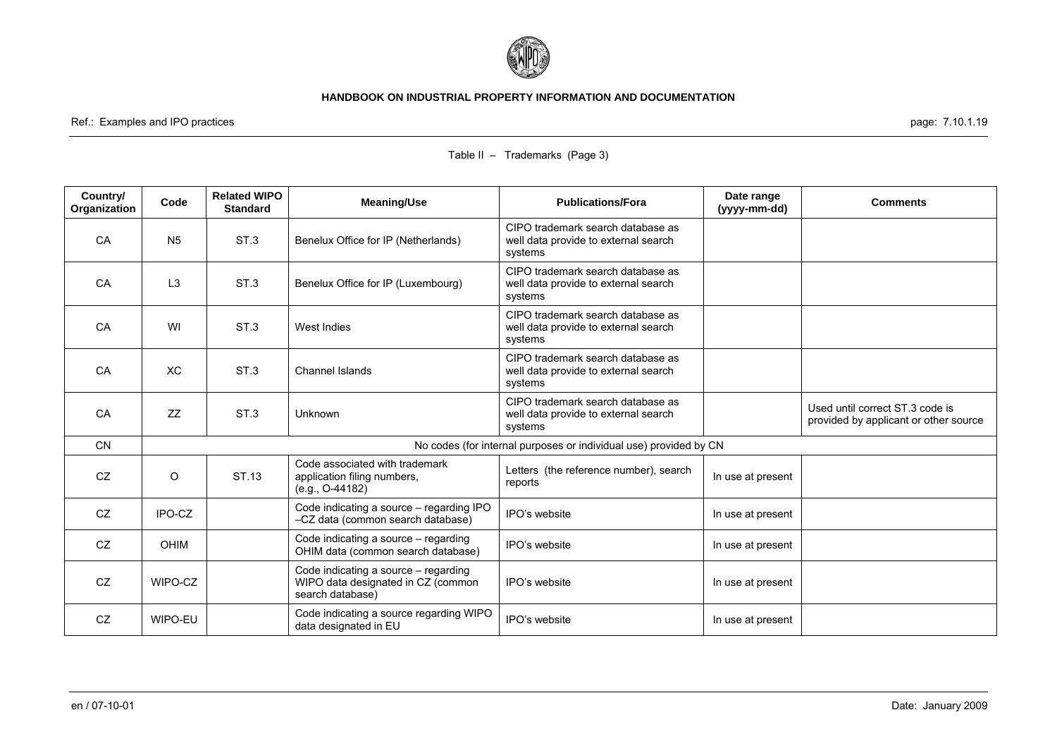

Ref.: Examples and IPO practices page: 7.10.1.19

| Country/<br>Organization | Code           | <b>Related WIPO</b><br><b>Standard</b> | <b>Meaning/Use</b>                                                                             | <b>Publications/Fora</b>                                                             | Date range<br>(yyyy-mm-dd) | <b>Comments</b>                                                          |
|--------------------------|----------------|----------------------------------------|------------------------------------------------------------------------------------------------|--------------------------------------------------------------------------------------|----------------------------|--------------------------------------------------------------------------|
| CA                       | N <sub>5</sub> | ST.3                                   | Benelux Office for IP (Netherlands)                                                            | CIPO trademark search database as<br>well data provide to external search<br>systems |                            |                                                                          |
| CA                       | L <sub>3</sub> | ST.3                                   | Benelux Office for IP (Luxembourg)                                                             | CIPO trademark search database as<br>well data provide to external search<br>systems |                            |                                                                          |
| CA                       | WI             | ST <sub>3</sub>                        | West Indies                                                                                    | CIPO trademark search database as<br>well data provide to external search<br>systems |                            |                                                                          |
| CA                       | XC             | ST <sub>3</sub>                        | Channel Islands                                                                                | CIPO trademark search database as<br>well data provide to external search<br>systems |                            |                                                                          |
| CA                       | ZZ             | ST <sub>3</sub>                        | <b>Unknown</b>                                                                                 | CIPO trademark search database as<br>well data provide to external search<br>systems |                            | Used until correct ST.3 code is<br>provided by applicant or other source |
| <b>CN</b>                |                |                                        |                                                                                                | No codes (for internal purposes or individual use) provided by CN                    |                            |                                                                          |
| CZ                       | O              | ST.13                                  | Code associated with trademark<br>application filing numbers,<br>$(e.g., O-44182)$             | Letters (the reference number), search<br>reports                                    | In use at present          |                                                                          |
| CZ                       | IPO-CZ         |                                        | Code indicating a source - regarding IPO<br>-CZ data (common search database)                  | IPO's website                                                                        | In use at present          |                                                                          |
| CZ                       | <b>OHIM</b>    |                                        | Code indicating a source - regarding<br>OHIM data (common search database)                     | IPO's website                                                                        | In use at present          |                                                                          |
| CZ                       | WIPO-CZ        |                                        | Code indicating a source - regarding<br>WIPO data designated in CZ (common<br>search database) | IPO's website                                                                        | In use at present          |                                                                          |
| CZ                       | WIPO-EU        |                                        | Code indicating a source regarding WIPO<br>data designated in EU                               | IPO's website                                                                        | In use at present          |                                                                          |

# Table II – Trademarks (Page 3)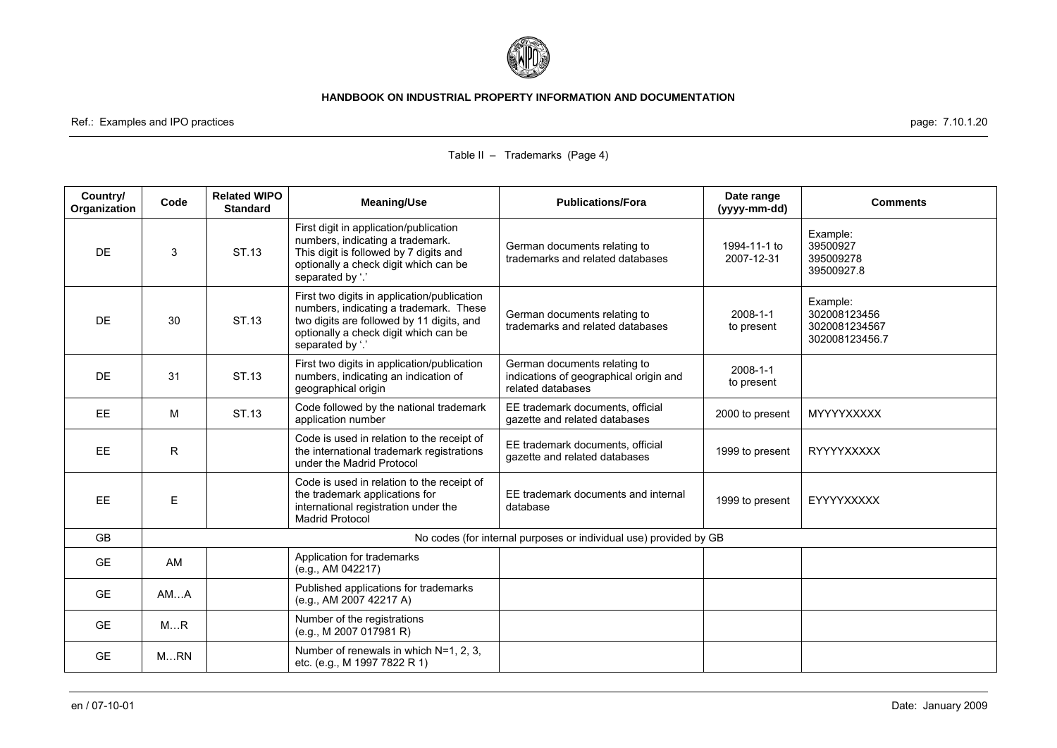

Ref.: Examples and IPO practices page: 7.10.1.20

| Country/<br>Organization | Code | <b>Related WIPO</b><br><b>Standard</b> | <b>Meaning/Use</b>                                                                                                                                                                              | <b>Publications/Fora</b>                                                                    | Date range<br>(yyyy-mm-dd) | <b>Comments</b>                                             |
|--------------------------|------|----------------------------------------|-------------------------------------------------------------------------------------------------------------------------------------------------------------------------------------------------|---------------------------------------------------------------------------------------------|----------------------------|-------------------------------------------------------------|
| DE                       | 3    | ST.13                                  | First digit in application/publication<br>numbers, indicating a trademark.<br>This digit is followed by 7 digits and<br>optionally a check digit which can be<br>separated by '.'               | German documents relating to<br>trademarks and related databases                            | 1994-11-1 to<br>2007-12-31 | Example:<br>39500927<br>395009278<br>39500927.8             |
| DE                       | 30   | ST.13                                  | First two digits in application/publication<br>numbers, indicating a trademark. These<br>two digits are followed by 11 digits, and<br>optionally a check digit which can be<br>separated by '.' | German documents relating to<br>trademarks and related databases                            | 2008-1-1<br>to present     | Example:<br>302008123456<br>3020081234567<br>302008123456.7 |
| <b>DE</b>                | 31   | ST.13                                  | First two digits in application/publication<br>numbers, indicating an indication of<br>geographical origin                                                                                      | German documents relating to<br>indications of geographical origin and<br>related databases | 2008-1-1<br>to present     |                                                             |
| <b>EE</b>                | M    | ST.13                                  | Code followed by the national trademark<br>application number                                                                                                                                   | EE trademark documents, official<br>gazette and related databases                           | 2000 to present            | <b>MYYYYXXXXX</b>                                           |
| <b>EE</b>                | R    |                                        | Code is used in relation to the receipt of<br>the international trademark registrations<br>under the Madrid Protocol                                                                            | EE trademark documents, official<br>gazette and related databases                           | 1999 to present            | <b>RYYYYXXXXX</b>                                           |
| <b>EE</b>                | E    |                                        | Code is used in relation to the receipt of<br>the trademark applications for<br>international registration under the<br><b>Madrid Protocol</b>                                                  | EE trademark documents and internal<br>database                                             | 1999 to present            | EYYYYXXXXX                                                  |
| <b>GB</b>                |      |                                        |                                                                                                                                                                                                 | No codes (for internal purposes or individual use) provided by GB                           |                            |                                                             |
| <b>GE</b>                | AM   |                                        | Application for trademarks<br>(e.g., AM 042217)                                                                                                                                                 |                                                                                             |                            |                                                             |
| <b>GE</b>                | AMA  |                                        | Published applications for trademarks<br>(e.g., AM 2007 42217 A)                                                                                                                                |                                                                                             |                            |                                                             |
| <b>GE</b>                | MR   |                                        | Number of the registrations<br>(e.g., M 2007 017981 R)                                                                                                                                          |                                                                                             |                            |                                                             |
| <b>GE</b>                | MRN  |                                        | Number of renewals in which N=1, 2, 3,<br>etc. (e.g., M 1997 7822 R 1)                                                                                                                          |                                                                                             |                            |                                                             |

# Table II – Trademarks (Page 4)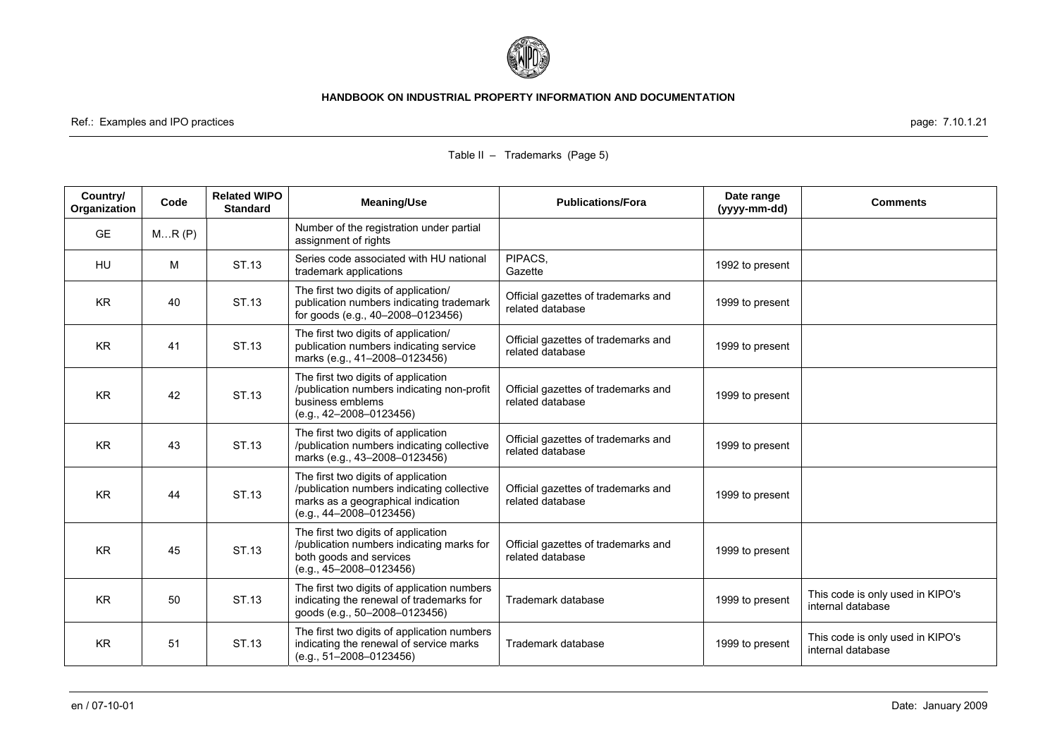

Ref.: Examples and IPO practices page: 7.10.1.21

| Country/<br>Organization | Code  | <b>Related WIPO</b><br><b>Standard</b> | <b>Meaning/Use</b>                                                                                                                                   | <b>Publications/Fora</b>                                | Date range<br>(yyyy-mm-dd) | <b>Comments</b>                                       |
|--------------------------|-------|----------------------------------------|------------------------------------------------------------------------------------------------------------------------------------------------------|---------------------------------------------------------|----------------------------|-------------------------------------------------------|
| <b>GE</b>                | MR(P) |                                        | Number of the registration under partial<br>assignment of rights                                                                                     |                                                         |                            |                                                       |
| <b>HU</b>                | M     | ST.13                                  | Series code associated with HU national<br>trademark applications                                                                                    | PIPACS,<br>Gazette                                      | 1992 to present            |                                                       |
| <b>KR</b>                | 40    | ST.13                                  | The first two digits of application/<br>publication numbers indicating trademark<br>for goods (e.g., 40-2008-0123456)                                | Official gazettes of trademarks and<br>related database | 1999 to present            |                                                       |
| <b>KR</b>                | 41    | ST.13                                  | The first two digits of application/<br>publication numbers indicating service<br>marks (e.g., 41-2008-0123456)                                      | Official gazettes of trademarks and<br>related database | 1999 to present            |                                                       |
| <b>KR</b>                | 42    | ST.13                                  | The first two digits of application<br>/publication numbers indicating non-profit<br>business emblems<br>$(e.g., 42-2008-0123456)$                   | Official gazettes of trademarks and<br>related database | 1999 to present            |                                                       |
| <b>KR</b>                | 43    | ST.13                                  | The first two digits of application<br>/publication numbers indicating collective<br>marks (e.g., 43-2008-0123456)                                   | Official gazettes of trademarks and<br>related database | 1999 to present            |                                                       |
| <b>KR</b>                | 44    | ST.13                                  | The first two digits of application<br>/publication numbers indicating collective<br>marks as a geographical indication<br>$(e.g., 44-2008-0123456)$ | Official gazettes of trademarks and<br>related database | 1999 to present            |                                                       |
| <b>KR</b>                | 45    | ST.13                                  | The first two digits of application<br>/publication numbers indicating marks for<br>both goods and services<br>$(e.g., 45-2008-0123456)$             | Official gazettes of trademarks and<br>related database | 1999 to present            |                                                       |
| <b>KR</b>                | 50    | ST.13                                  | The first two digits of application numbers<br>indicating the renewal of trademarks for<br>goods (e.g., 50-2008-0123456)                             | Trademark database                                      | 1999 to present            | This code is only used in KIPO's<br>internal database |
| <b>KR</b>                | 51    | ST.13                                  | The first two digits of application numbers<br>indicating the renewal of service marks<br>$(e.g., 51-2008-0123456)$                                  | Trademark database                                      | 1999 to present            | This code is only used in KIPO's<br>internal database |

### Table II – Trademarks (Page 5)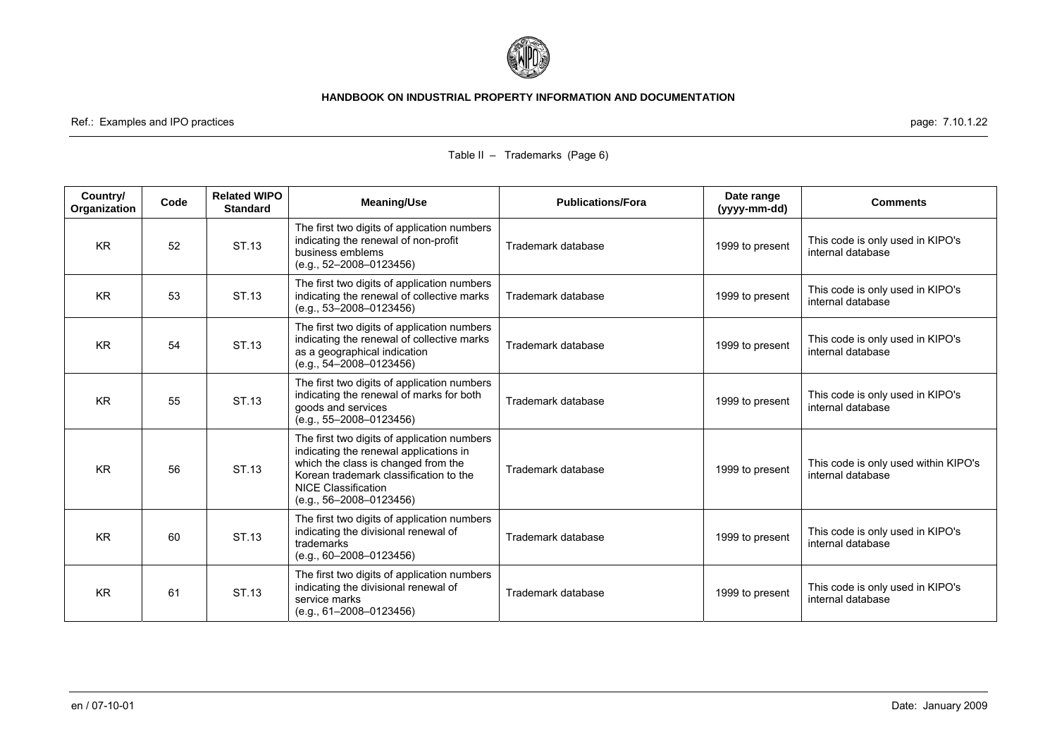

Ref.: Examples and IPO practices page: 7.10.1.22

| Country/<br>Organization | Code | <b>Related WIPO</b><br><b>Standard</b> | <b>Meaning/Use</b>                                                                                                                                                                                                                | <b>Publications/Fora</b> | Date range<br>(yyyy-mm-dd) | <b>Comments</b>                                           |
|--------------------------|------|----------------------------------------|-----------------------------------------------------------------------------------------------------------------------------------------------------------------------------------------------------------------------------------|--------------------------|----------------------------|-----------------------------------------------------------|
| <b>KR</b>                | 52   | ST.13                                  | The first two digits of application numbers<br>indicating the renewal of non-profit<br>business emblems<br>$(e.g., 52-2008-0123456)$                                                                                              | Trademark database       | 1999 to present            | This code is only used in KIPO's<br>internal database     |
| <b>KR</b>                | 53   | ST.13                                  | The first two digits of application numbers<br>indicating the renewal of collective marks<br>$(e.g., 53-2008-0123456)$                                                                                                            | Trademark database       | 1999 to present            | This code is only used in KIPO's<br>internal database     |
| <b>KR</b>                | 54   | ST.13                                  | The first two digits of application numbers<br>indicating the renewal of collective marks<br>as a geographical indication<br>$(e.q., 54-2008-0123456)$                                                                            | Trademark database       | 1999 to present            | This code is only used in KIPO's<br>internal database     |
| <b>KR</b>                | 55   | ST.13                                  | The first two digits of application numbers<br>indicating the renewal of marks for both<br>goods and services<br>$(e.g., 55-2008-0123456)$                                                                                        | Trademark database       | 1999 to present            | This code is only used in KIPO's<br>internal database     |
| <b>KR</b>                | 56   | ST.13                                  | The first two digits of application numbers<br>indicating the renewal applications in<br>which the class is changed from the<br>Korean trademark classification to the<br><b>NICE Classification</b><br>$(e.g., 56-2008-0123456)$ | Trademark database       | 1999 to present            | This code is only used within KIPO's<br>internal database |
| <b>KR</b>                | 60   | ST.13                                  | The first two digits of application numbers<br>indicating the divisional renewal of<br>trademarks<br>$(e.g., 60-2008-0123456)$                                                                                                    | Trademark database       | 1999 to present            | This code is only used in KIPO's<br>internal database     |
| <b>KR</b>                | 61   | ST.13                                  | The first two digits of application numbers<br>indicating the divisional renewal of<br>service marks<br>(e.g., 61-2008-0123456)                                                                                                   | Trademark database       | 1999 to present            | This code is only used in KIPO's<br>internal database     |

### Table II – Trademarks (Page 6)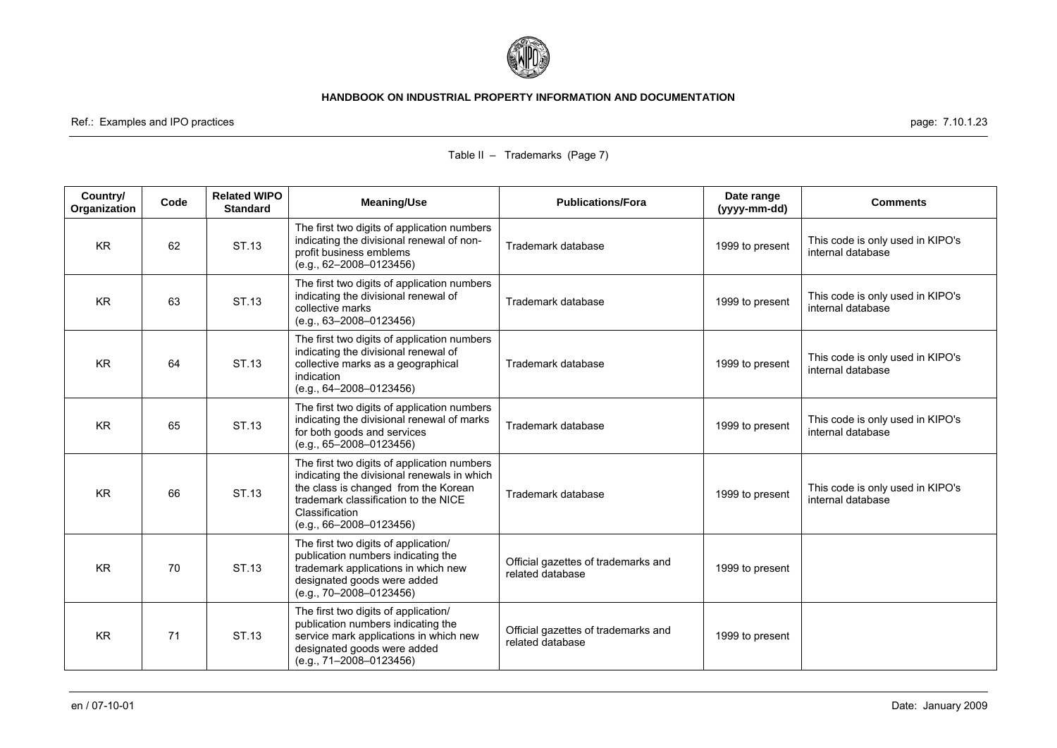

Ref.: Examples and IPO practices page: 7.10.1.23

| Country/<br><b>Organization</b> | Code | <b>Related WIPO</b><br><b>Standard</b> | <b>Meaning/Use</b>                                                                                                                                                                                                      | <b>Publications/Fora</b>                                | Date range<br>(yyyy-mm-dd) | <b>Comments</b>                                       |
|---------------------------------|------|----------------------------------------|-------------------------------------------------------------------------------------------------------------------------------------------------------------------------------------------------------------------------|---------------------------------------------------------|----------------------------|-------------------------------------------------------|
| <b>KR</b>                       | 62   | ST.13                                  | The first two digits of application numbers<br>indicating the divisional renewal of non-<br>profit business emblems<br>$(e.g., 62-2008-0123456)$                                                                        | Trademark database                                      | 1999 to present            | This code is only used in KIPO's<br>internal database |
| <b>KR</b>                       | 63   | ST.13                                  | The first two digits of application numbers<br>indicating the divisional renewal of<br>collective marks<br>(e.g., 63-2008-0123456)                                                                                      | Trademark database                                      | 1999 to present            | This code is only used in KIPO's<br>internal database |
| <b>KR</b>                       | 64   | ST.13                                  | The first two digits of application numbers<br>indicating the divisional renewal of<br>collective marks as a geographical<br>indication<br>(e.g., 64-2008-0123456)                                                      | Trademark database                                      | 1999 to present            | This code is only used in KIPO's<br>internal database |
| <b>KR</b>                       | 65   | ST.13                                  | The first two digits of application numbers<br>indicating the divisional renewal of marks<br>for both goods and services<br>$(e.g., 65-2008-0123456)$                                                                   | Trademark database                                      | 1999 to present            | This code is only used in KIPO's<br>internal database |
| <b>KR</b>                       | 66   | ST.13                                  | The first two digits of application numbers<br>indicating the divisional renewals in which<br>the class is changed from the Korean<br>trademark classification to the NICE<br>Classification<br>(e.g., 66-2008-0123456) | Trademark database                                      | 1999 to present            | This code is only used in KIPO's<br>internal database |
| <b>KR</b>                       | 70   | ST.13                                  | The first two digits of application/<br>publication numbers indicating the<br>trademark applications in which new<br>designated goods were added<br>$(e.g., 70-2008-0123456)$                                           | Official gazettes of trademarks and<br>related database | 1999 to present            |                                                       |
| <b>KR</b>                       | 71   | ST.13                                  | The first two digits of application/<br>publication numbers indicating the<br>service mark applications in which new<br>designated goods were added<br>(e.g., 71-2008-0123456)                                          | Official gazettes of trademarks and<br>related database | 1999 to present            |                                                       |

# Table II – Trademarks (Page 7)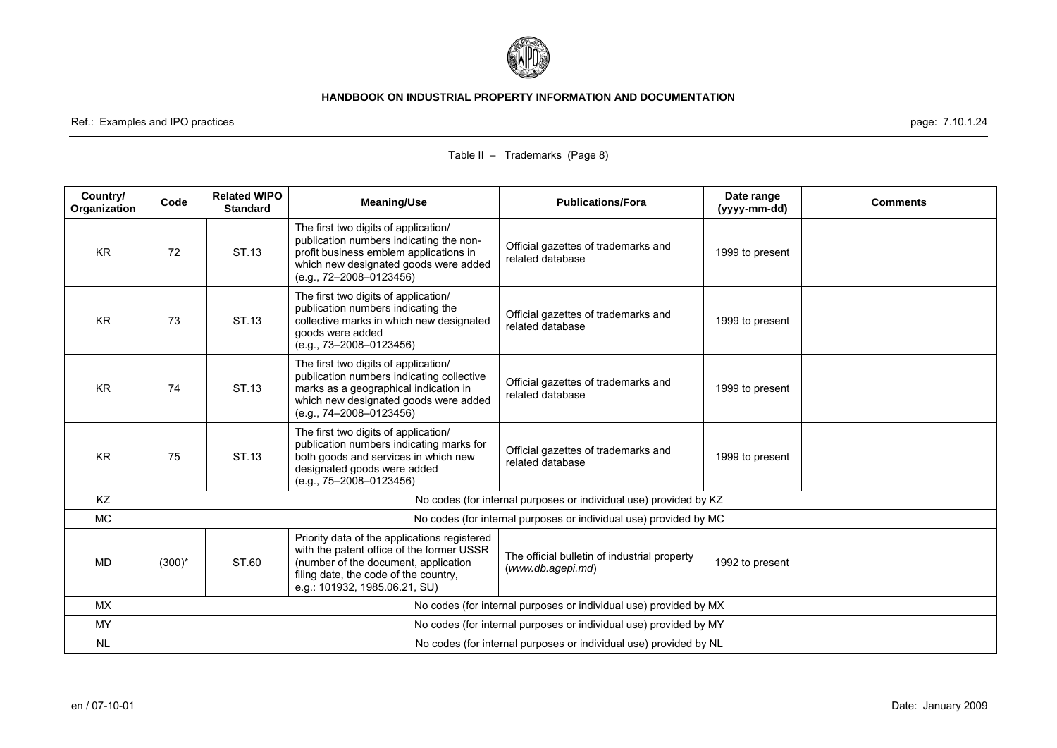

Ref.: Examples and IPO practices page: 7.10.1.24

| Country/<br><b>Organization</b> | Code                                                              | <b>Related WIPO</b><br><b>Standard</b> | <b>Meaning/Use</b>                                                                                                                                                                                          | <b>Publications/Fora</b>                                          | Date range<br>(yyyy-mm-dd) | <b>Comments</b> |
|---------------------------------|-------------------------------------------------------------------|----------------------------------------|-------------------------------------------------------------------------------------------------------------------------------------------------------------------------------------------------------------|-------------------------------------------------------------------|----------------------------|-----------------|
| <b>KR</b>                       | 72                                                                | ST.13                                  | The first two digits of application/<br>publication numbers indicating the non-<br>profit business emblem applications in<br>which new designated goods were added<br>(e.g., 72-2008-0123456)               | Official gazettes of trademarks and<br>related database           | 1999 to present            |                 |
| <b>KR</b>                       | 73                                                                | ST.13                                  | The first two digits of application/<br>publication numbers indicating the<br>collective marks in which new designated<br>goods were added<br>$(e.q., 73-2008-0123456)$                                     | Official gazettes of trademarks and<br>related database           | 1999 to present            |                 |
| <b>KR</b>                       | 74                                                                | ST.13                                  | The first two digits of application/<br>publication numbers indicating collective<br>marks as a geographical indication in<br>which new designated goods were added<br>(e.g., 74-2008-0123456)              | Official gazettes of trademarks and<br>related database           | 1999 to present            |                 |
| <b>KR</b>                       | 75                                                                | ST.13                                  | The first two digits of application/<br>publication numbers indicating marks for<br>both goods and services in which new<br>designated goods were added<br>(e.g., 75-2008-0123456)                          | Official gazettes of trademarks and<br>related database           | 1999 to present            |                 |
| KZ                              |                                                                   |                                        |                                                                                                                                                                                                             | No codes (for internal purposes or individual use) provided by KZ |                            |                 |
| <b>MC</b>                       |                                                                   |                                        |                                                                                                                                                                                                             | No codes (for internal purposes or individual use) provided by MC |                            |                 |
| <b>MD</b>                       | $(300)^*$                                                         | ST.60                                  | Priority data of the applications registered<br>with the patent office of the former USSR<br>(number of the document, application<br>filing date, the code of the country,<br>e.g.: 101932, 1985.06.21, SU) | The official bulletin of industrial property<br>(www.db.agepi.md) | 1992 to present            |                 |
| <b>MX</b>                       |                                                                   |                                        |                                                                                                                                                                                                             | No codes (for internal purposes or individual use) provided by MX |                            |                 |
| <b>MY</b>                       | No codes (for internal purposes or individual use) provided by MY |                                        |                                                                                                                                                                                                             |                                                                   |                            |                 |
| <b>NL</b>                       |                                                                   |                                        |                                                                                                                                                                                                             | No codes (for internal purposes or individual use) provided by NL |                            |                 |

### Table II – Trademarks (Page 8)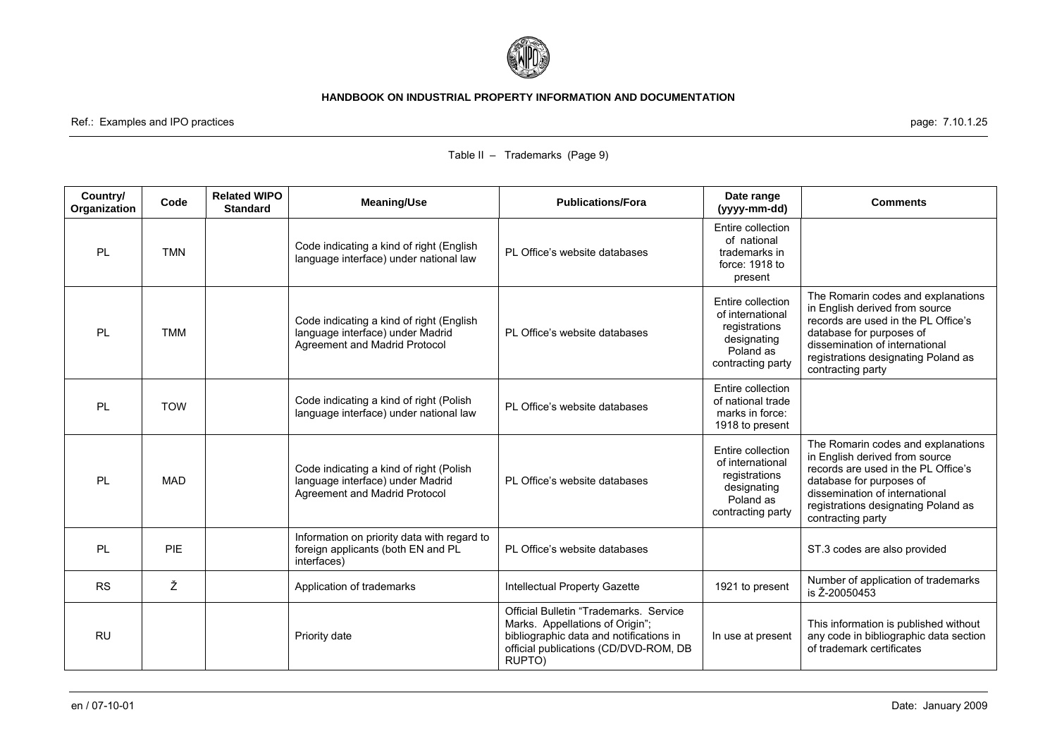

Ref.: Examples and IPO practices page: 7.10.1.25

# Table II – Trademarks (Page 9)

| Country/<br>Organization | Code       | <b>Related WIPO</b><br><b>Standard</b> | <b>Meaning/Use</b>                                                                                            | <b>Publications/Fora</b>                                                                                                                                                | Date range<br>(yyyy-mm-dd)                                                                              | <b>Comments</b>                                                                                                                                                                                                                       |
|--------------------------|------------|----------------------------------------|---------------------------------------------------------------------------------------------------------------|-------------------------------------------------------------------------------------------------------------------------------------------------------------------------|---------------------------------------------------------------------------------------------------------|---------------------------------------------------------------------------------------------------------------------------------------------------------------------------------------------------------------------------------------|
| PL                       | <b>TMN</b> |                                        | Code indicating a kind of right (English<br>language interface) under national law                            | PL Office's website databases                                                                                                                                           | Entire collection<br>of national<br>trademarks in<br>force: 1918 to<br>present                          |                                                                                                                                                                                                                                       |
| PL                       | <b>TMM</b> |                                        | Code indicating a kind of right (English<br>language interface) under Madrid<br>Agreement and Madrid Protocol | PL Office's website databases                                                                                                                                           | Entire collection<br>of international<br>registrations<br>designating<br>Poland as<br>contracting party | The Romarin codes and explanations<br>in English derived from source<br>records are used in the PL Office's<br>database for purposes of<br>dissemination of international<br>registrations designating Poland as<br>contracting party |
| PL                       | <b>TOW</b> |                                        | Code indicating a kind of right (Polish<br>language interface) under national law                             | PL Office's website databases                                                                                                                                           | Entire collection<br>of national trade<br>marks in force:<br>1918 to present                            |                                                                                                                                                                                                                                       |
| <b>PL</b>                | <b>MAD</b> |                                        | Code indicating a kind of right (Polish<br>language interface) under Madrid<br>Agreement and Madrid Protocol  | PL Office's website databases                                                                                                                                           | Entire collection<br>of international<br>registrations<br>designating<br>Poland as<br>contracting party | The Romarin codes and explanations<br>in English derived from source<br>records are used in the PL Office's<br>database for purposes of<br>dissemination of international<br>registrations designating Poland as<br>contracting party |
| PL                       | <b>PIE</b> |                                        | Information on priority data with regard to<br>foreign applicants (both EN and PL<br>interfaces)              | PL Office's website databases                                                                                                                                           |                                                                                                         | ST.3 codes are also provided                                                                                                                                                                                                          |
| <b>RS</b>                | Ž          |                                        | Application of trademarks                                                                                     | Intellectual Property Gazette                                                                                                                                           | 1921 to present                                                                                         | Number of application of trademarks<br>is Ž-20050453                                                                                                                                                                                  |
| <b>RU</b>                |            |                                        | Priority date                                                                                                 | Official Bulletin "Trademarks, Service<br>Marks. Appellations of Origin";<br>bibliographic data and notifications in<br>official publications (CD/DVD-ROM, DB<br>RUPTO) | In use at present                                                                                       | This information is published without<br>any code in bibliographic data section<br>of trademark certificates                                                                                                                          |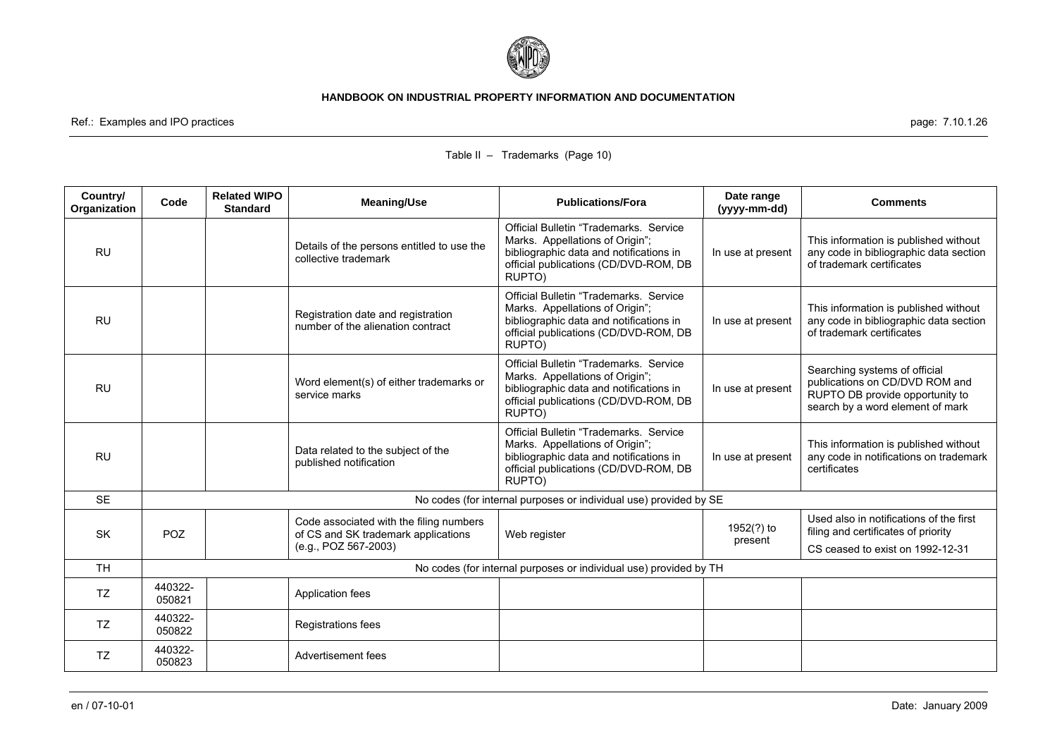

Ref.: Examples and IPO practices page: 7.10.1.26

| Country/<br>Organization | Code              | <b>Related WIPO</b><br><b>Standard</b> | <b>Meaning/Use</b>                                                             | <b>Publications/Fora</b>                                                                                                                                                 | Date range<br>(yyyy-mm-dd) | <b>Comments</b>                                                                                                                        |
|--------------------------|-------------------|----------------------------------------|--------------------------------------------------------------------------------|--------------------------------------------------------------------------------------------------------------------------------------------------------------------------|----------------------------|----------------------------------------------------------------------------------------------------------------------------------------|
| <b>RU</b>                |                   |                                        | Details of the persons entitled to use the<br>collective trademark             | Official Bulletin "Trademarks, Service<br>Marks. Appellations of Origin";<br>bibliographic data and notifications in<br>official publications (CD/DVD-ROM, DB<br>RUPTO)  | In use at present          | This information is published without<br>any code in bibliographic data section<br>of trademark certificates                           |
| <b>RU</b>                |                   |                                        | Registration date and registration<br>number of the alienation contract        | Official Bulletin "Trademarks, Service"<br>Marks. Appellations of Origin";<br>bibliographic data and notifications in<br>official publications (CD/DVD-ROM, DB<br>RUPTO) | In use at present          | This information is published without<br>any code in bibliographic data section<br>of trademark certificates                           |
| <b>RU</b>                |                   |                                        | Word element(s) of either trademarks or<br>service marks                       | Official Bulletin "Trademarks, Service<br>Marks. Appellations of Origin";<br>bibliographic data and notifications in<br>official publications (CD/DVD-ROM, DB<br>RUPTO)  | In use at present          | Searching systems of official<br>publications on CD/DVD ROM and<br>RUPTO DB provide opportunity to<br>search by a word element of mark |
| <b>RU</b>                |                   |                                        | Data related to the subject of the<br>published notification                   | Official Bulletin "Trademarks, Service"<br>Marks. Appellations of Origin";<br>bibliographic data and notifications in<br>official publications (CD/DVD-ROM, DB<br>RUPTO) | In use at present          | This information is published without<br>any code in notifications on trademark<br>certificates                                        |
| <b>SE</b>                |                   |                                        |                                                                                | No codes (for internal purposes or individual use) provided by SE                                                                                                        |                            |                                                                                                                                        |
| <b>SK</b>                | <b>POZ</b>        |                                        | Code associated with the filing numbers<br>of CS and SK trademark applications | Web register                                                                                                                                                             | 1952(?) to<br>present      | Used also in notifications of the first<br>filing and certificates of priority                                                         |
|                          |                   |                                        | (e.g., POZ 567-2003)                                                           |                                                                                                                                                                          |                            | CS ceased to exist on 1992-12-31                                                                                                       |
| <b>TH</b>                |                   |                                        |                                                                                | No codes (for internal purposes or individual use) provided by TH                                                                                                        |                            |                                                                                                                                        |
| <b>TZ</b>                | 440322-<br>050821 |                                        | Application fees                                                               |                                                                                                                                                                          |                            |                                                                                                                                        |
| <b>TZ</b>                | 440322-<br>050822 |                                        | Registrations fees                                                             |                                                                                                                                                                          |                            |                                                                                                                                        |
| TZ                       | 440322-<br>050823 |                                        | Advertisement fees                                                             |                                                                                                                                                                          |                            |                                                                                                                                        |

## Table II – Trademarks (Page 10)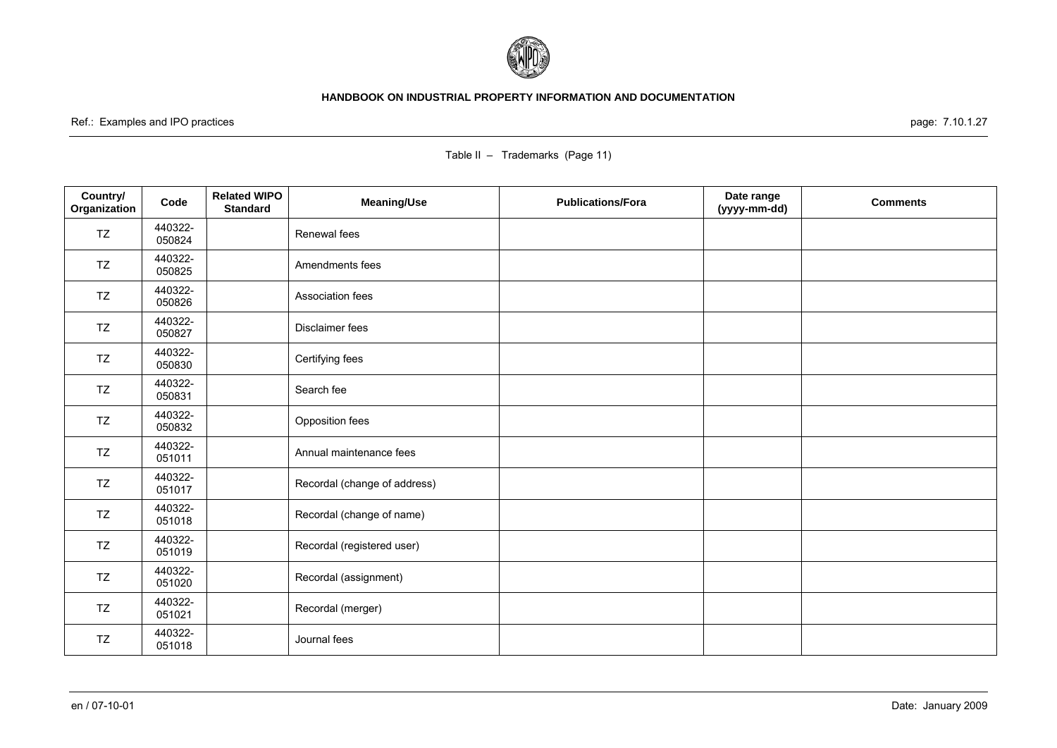

Ref.: Examples and IPO practices page: 7.10.1.27

| Country/<br>Organization | Code              | <b>Related WIPO</b><br><b>Standard</b> | <b>Meaning/Use</b>           | <b>Publications/Fora</b> | Date range<br>(yyyy-mm-dd) | <b>Comments</b> |
|--------------------------|-------------------|----------------------------------------|------------------------------|--------------------------|----------------------------|-----------------|
| TZ                       | 440322-<br>050824 |                                        | Renewal fees                 |                          |                            |                 |
| TZ                       | 440322-<br>050825 |                                        | Amendments fees              |                          |                            |                 |
| TZ                       | 440322-<br>050826 |                                        | Association fees             |                          |                            |                 |
| TZ                       | 440322-<br>050827 |                                        | Disclaimer fees              |                          |                            |                 |
| TZ                       | 440322-<br>050830 |                                        | Certifying fees              |                          |                            |                 |
| TZ                       | 440322-<br>050831 |                                        | Search fee                   |                          |                            |                 |
| TZ                       | 440322-<br>050832 |                                        | Opposition fees              |                          |                            |                 |
| TZ                       | 440322-<br>051011 |                                        | Annual maintenance fees      |                          |                            |                 |
| TZ                       | 440322-<br>051017 |                                        | Recordal (change of address) |                          |                            |                 |
| TZ                       | 440322-<br>051018 |                                        | Recordal (change of name)    |                          |                            |                 |
| TZ                       | 440322-<br>051019 |                                        | Recordal (registered user)   |                          |                            |                 |
| TZ                       | 440322-<br>051020 |                                        | Recordal (assignment)        |                          |                            |                 |
| TZ                       | 440322-<br>051021 |                                        | Recordal (merger)            |                          |                            |                 |
| TZ                       | 440322-<br>051018 |                                        | Journal fees                 |                          |                            |                 |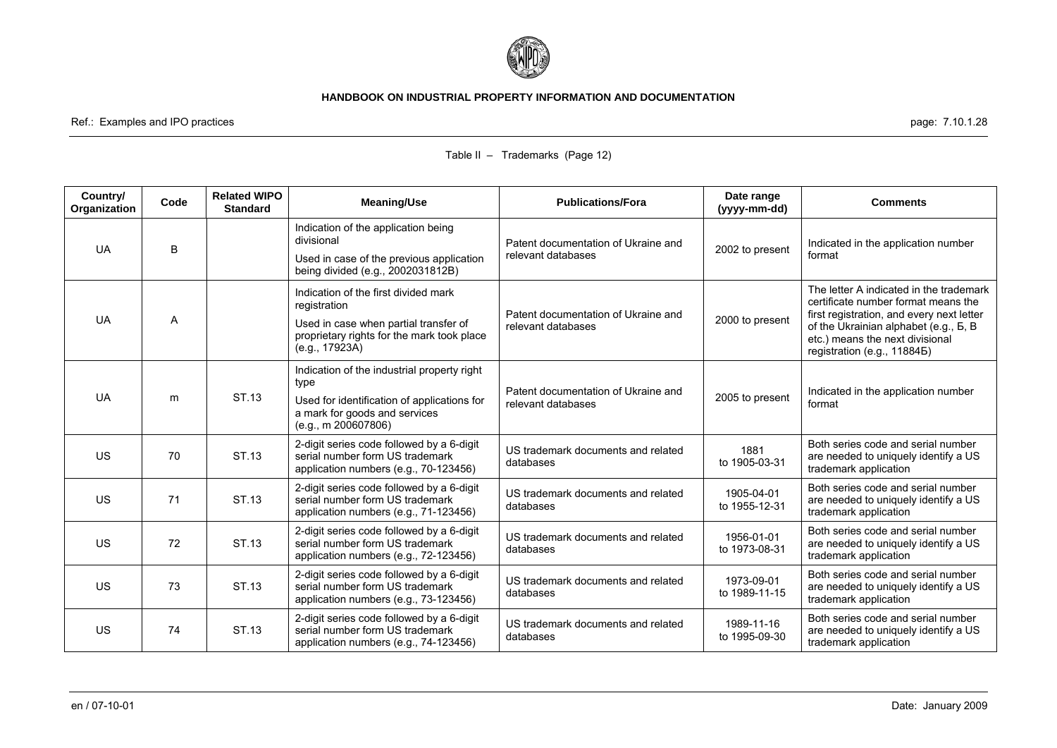

Ref.: Examples and IPO practices page: 7.10.1.28

| Country/<br>Organization | Code | <b>Related WIPO</b><br><b>Standard</b> | <b>Meaning/Use</b>                                                                                                                                            | <b>Publications/Fora</b>                                  | Date range<br>(yyyy-mm-dd)  | <b>Comments</b>                                                                                                                                                                                                                        |
|--------------------------|------|----------------------------------------|---------------------------------------------------------------------------------------------------------------------------------------------------------------|-----------------------------------------------------------|-----------------------------|----------------------------------------------------------------------------------------------------------------------------------------------------------------------------------------------------------------------------------------|
| <b>UA</b>                | B    |                                        | Indication of the application being<br>divisional<br>Used in case of the previous application<br>being divided (e.g., 2002031812B)                            | Patent documentation of Ukraine and<br>relevant databases | 2002 to present             | Indicated in the application number<br>format                                                                                                                                                                                          |
| <b>UA</b>                | A    |                                        | Indication of the first divided mark<br>registration<br>Used in case when partial transfer of<br>proprietary rights for the mark took place<br>(e.g., 17923A) | Patent documentation of Ukraine and<br>relevant databases | 2000 to present             | The letter A indicated in the trademark<br>certificate number format means the<br>first registration, and every next letter<br>of the Ukrainian alphabet (e.g., B, B<br>etc.) means the next divisional<br>registration (e.g., 118845) |
| <b>UA</b>                | m    | ST.13                                  | Indication of the industrial property right<br>type<br>Used for identification of applications for<br>a mark for goods and services<br>(e.g., m 200607806)    | Patent documentation of Ukraine and<br>relevant databases | 2005 to present             | Indicated in the application number<br>format                                                                                                                                                                                          |
| <b>US</b>                | 70   | ST.13                                  | 2-digit series code followed by a 6-digit<br>serial number form US trademark<br>application numbers (e.g., 70-123456)                                         | US trademark documents and related<br>databases           | 1881<br>to 1905-03-31       | Both series code and serial number<br>are needed to uniquely identify a US<br>trademark application                                                                                                                                    |
| <b>US</b>                | 71   | ST.13                                  | 2-digit series code followed by a 6-digit<br>serial number form US trademark<br>application numbers (e.g., 71-123456)                                         | US trademark documents and related<br>databases           | 1905-04-01<br>to 1955-12-31 | Both series code and serial number<br>are needed to uniquely identify a US<br>trademark application                                                                                                                                    |
| <b>US</b>                | 72   | ST.13                                  | 2-digit series code followed by a 6-digit<br>serial number form US trademark<br>application numbers (e.g., 72-123456)                                         | US trademark documents and related<br>databases           | 1956-01-01<br>to 1973-08-31 | Both series code and serial number<br>are needed to uniquely identify a US<br>trademark application                                                                                                                                    |
| <b>US</b>                | 73   | ST.13                                  | 2-digit series code followed by a 6-digit<br>serial number form US trademark<br>application numbers (e.g., 73-123456)                                         | US trademark documents and related<br>databases           | 1973-09-01<br>to 1989-11-15 | Both series code and serial number<br>are needed to uniquely identify a US<br>trademark application                                                                                                                                    |
| <b>US</b>                | 74   | ST.13                                  | 2-digit series code followed by a 6-digit<br>serial number form US trademark<br>application numbers (e.g., 74-123456)                                         | US trademark documents and related<br>databases           | 1989-11-16<br>to 1995-09-30 | Both series code and serial number<br>are needed to uniquely identify a US<br>trademark application                                                                                                                                    |

### Table II – Trademarks (Page 12)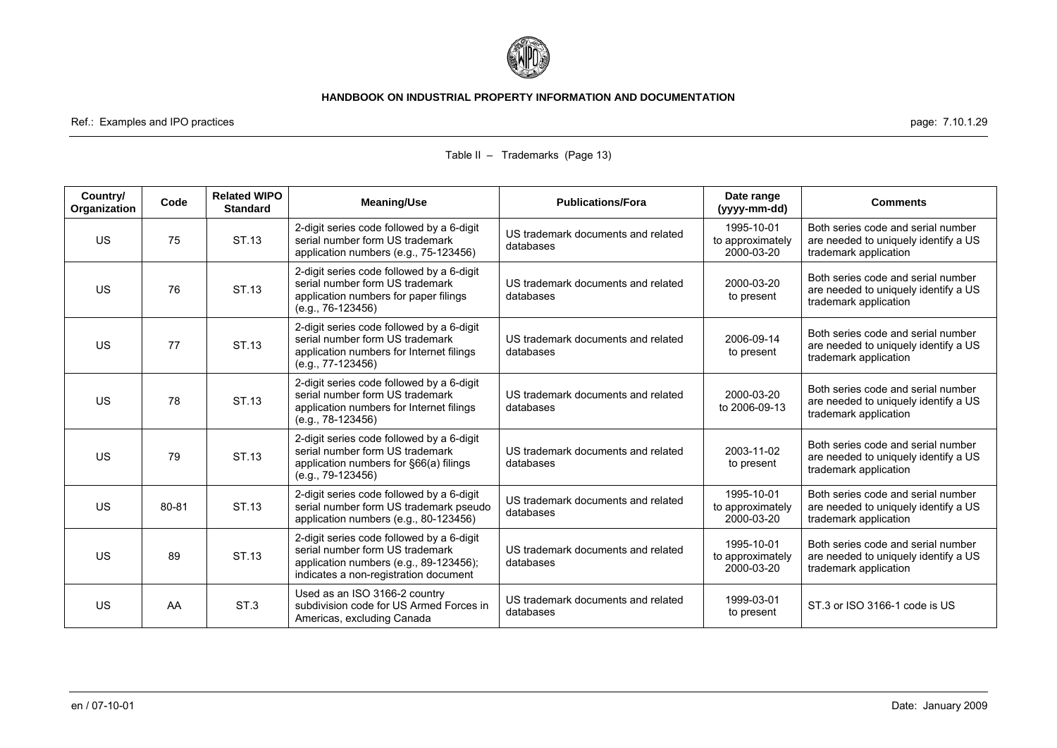

Ref.: Examples and IPO practices page: 7.10.1.29

| Country/<br>Organization | Code  | <b>Related WIPO</b><br><b>Standard</b> | <b>Meaning/Use</b>                                                                                                                                              | <b>Publications/Fora</b>                        | Date range<br>(yyyy-mm-dd)                   | <b>Comments</b>                                                                                     |
|--------------------------|-------|----------------------------------------|-----------------------------------------------------------------------------------------------------------------------------------------------------------------|-------------------------------------------------|----------------------------------------------|-----------------------------------------------------------------------------------------------------|
| <b>US</b>                | 75    | ST.13                                  | 2-digit series code followed by a 6-digit<br>serial number form US trademark<br>application numbers (e.g., 75-123456)                                           | US trademark documents and related<br>databases | 1995-10-01<br>to approximately<br>2000-03-20 | Both series code and serial number<br>are needed to uniquely identify a US<br>trademark application |
| <b>US</b>                | 76    | ST.13                                  | 2-digit series code followed by a 6-digit<br>serial number form US trademark<br>application numbers for paper filings<br>(e.g., 76-123456)                      | US trademark documents and related<br>databases | 2000-03-20<br>to present                     | Both series code and serial number<br>are needed to uniquely identify a US<br>trademark application |
| <b>US</b>                | 77    | ST.13                                  | 2-digit series code followed by a 6-digit<br>serial number form US trademark<br>application numbers for Internet filings<br>(e.g., 77-123456)                   | US trademark documents and related<br>databases | 2006-09-14<br>to present                     | Both series code and serial number<br>are needed to uniquely identify a US<br>trademark application |
| <b>US</b>                | 78    | ST.13                                  | 2-digit series code followed by a 6-digit<br>serial number form US trademark<br>application numbers for Internet filings<br>$(e.g., 78-123456)$                 | US trademark documents and related<br>databases | 2000-03-20<br>to 2006-09-13                  | Both series code and serial number<br>are needed to uniquely identify a US<br>trademark application |
| <b>US</b>                | 79    | ST.13                                  | 2-digit series code followed by a 6-digit<br>serial number form US trademark<br>application numbers for §66(a) filings<br>$(e.g., 79-123456)$                   | US trademark documents and related<br>databases | 2003-11-02<br>to present                     | Both series code and serial number<br>are needed to uniquely identify a US<br>trademark application |
| <b>US</b>                | 80-81 | ST.13                                  | 2-digit series code followed by a 6-digit<br>serial number form US trademark pseudo<br>application numbers (e.g., 80-123456)                                    | US trademark documents and related<br>databases | 1995-10-01<br>to approximately<br>2000-03-20 | Both series code and serial number<br>are needed to uniquely identify a US<br>trademark application |
| <b>US</b>                | 89    | ST.13                                  | 2-digit series code followed by a 6-digit<br>serial number form US trademark<br>application numbers (e.g., 89-123456);<br>indicates a non-registration document | US trademark documents and related<br>databases | 1995-10-01<br>to approximately<br>2000-03-20 | Both series code and serial number<br>are needed to uniquely identify a US<br>trademark application |
| <b>US</b>                | AA    | ST <sub>3</sub>                        | Used as an ISO 3166-2 country<br>subdivision code for US Armed Forces in<br>Americas, excluding Canada                                                          | US trademark documents and related<br>databases | 1999-03-01<br>to present                     | ST.3 or ISO 3166-1 code is US                                                                       |

### Table II – Trademarks (Page 13)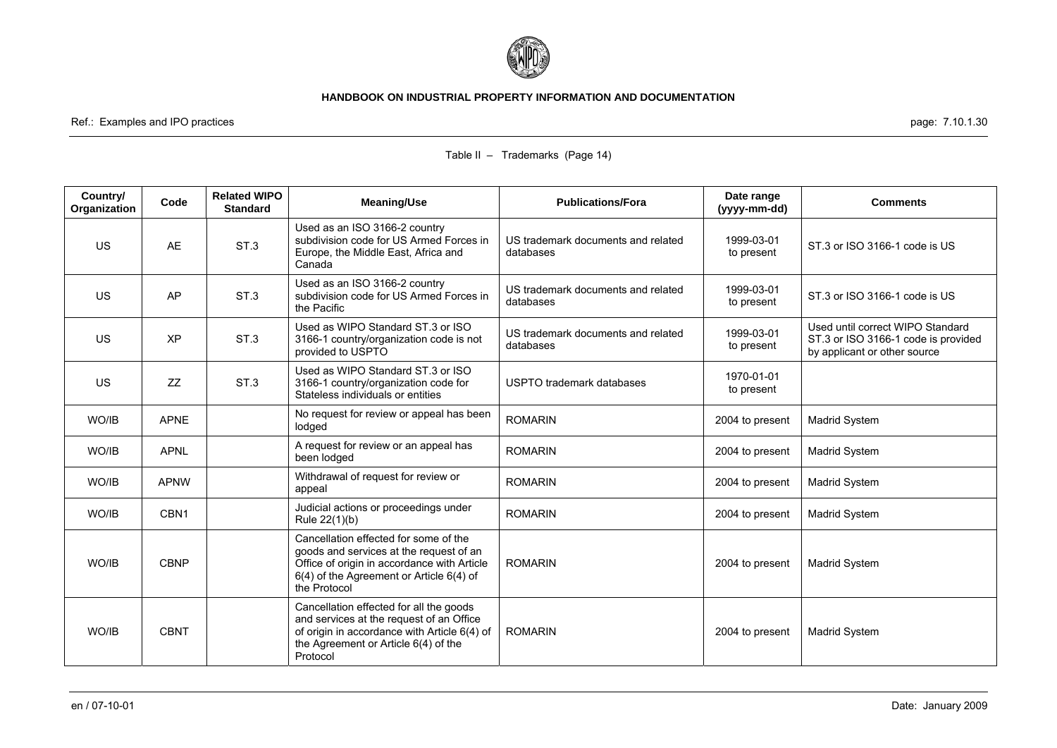

Ref.: Examples and IPO practices page: 7.10.1.30

| Country/<br>Organization | Code             | <b>Related WIPO</b><br><b>Standard</b> | Meaning/Use                                                                                                                                                                                 | <b>Publications/Fora</b>                        | Date range<br>(yyyy-mm-dd) | <b>Comments</b>                                                                                         |
|--------------------------|------------------|----------------------------------------|---------------------------------------------------------------------------------------------------------------------------------------------------------------------------------------------|-------------------------------------------------|----------------------------|---------------------------------------------------------------------------------------------------------|
| <b>US</b>                | AE               | ST <sub>3</sub>                        | Used as an ISO 3166-2 country<br>subdivision code for US Armed Forces in<br>Europe, the Middle East, Africa and<br>Canada                                                                   | US trademark documents and related<br>databases | 1999-03-01<br>to present   | ST.3 or ISO 3166-1 code is US                                                                           |
| <b>US</b>                | AP               | ST <sub>3</sub>                        | Used as an ISO 3166-2 country<br>subdivision code for US Armed Forces in<br>the Pacific                                                                                                     | US trademark documents and related<br>databases | 1999-03-01<br>to present   | ST.3 or ISO 3166-1 code is US                                                                           |
| <b>US</b>                | XP               | ST <sub>3</sub>                        | Used as WIPO Standard ST.3 or ISO<br>3166-1 country/organization code is not<br>provided to USPTO                                                                                           | US trademark documents and related<br>databases | 1999-03-01<br>to present   | Used until correct WIPO Standard<br>ST.3 or ISO 3166-1 code is provided<br>by applicant or other source |
| <b>US</b>                | <b>ZZ</b>        | ST.3                                   | Used as WIPO Standard ST.3 or ISO<br>3166-1 country/organization code for<br>Stateless individuals or entities                                                                              | USPTO trademark databases                       | 1970-01-01<br>to present   |                                                                                                         |
| WO/IB                    | <b>APNE</b>      |                                        | No request for review or appeal has been<br>lodged                                                                                                                                          | <b>ROMARIN</b>                                  | 2004 to present            | <b>Madrid System</b>                                                                                    |
| WO/IB                    | <b>APNL</b>      |                                        | A request for review or an appeal has<br>been lodged                                                                                                                                        | <b>ROMARIN</b>                                  | 2004 to present            | Madrid System                                                                                           |
| WO/IB                    | <b>APNW</b>      |                                        | Withdrawal of request for review or<br>appeal                                                                                                                                               | <b>ROMARIN</b>                                  | 2004 to present            | Madrid System                                                                                           |
| WO/IB                    | CBN <sub>1</sub> |                                        | Judicial actions or proceedings under<br>Rule 22(1)(b)                                                                                                                                      | <b>ROMARIN</b>                                  | 2004 to present            | Madrid System                                                                                           |
| WO/IB                    | <b>CBNP</b>      |                                        | Cancellation effected for some of the<br>goods and services at the request of an<br>Office of origin in accordance with Article<br>6(4) of the Agreement or Article 6(4) of<br>the Protocol | <b>ROMARIN</b>                                  | 2004 to present            | <b>Madrid System</b>                                                                                    |
| WO/IB                    | <b>CBNT</b>      |                                        | Cancellation effected for all the goods<br>and services at the request of an Office<br>of origin in accordance with Article 6(4) of<br>the Agreement or Article 6(4) of the<br>Protocol     | <b>ROMARIN</b>                                  | 2004 to present            | Madrid System                                                                                           |

### Table II – Trademarks (Page 14)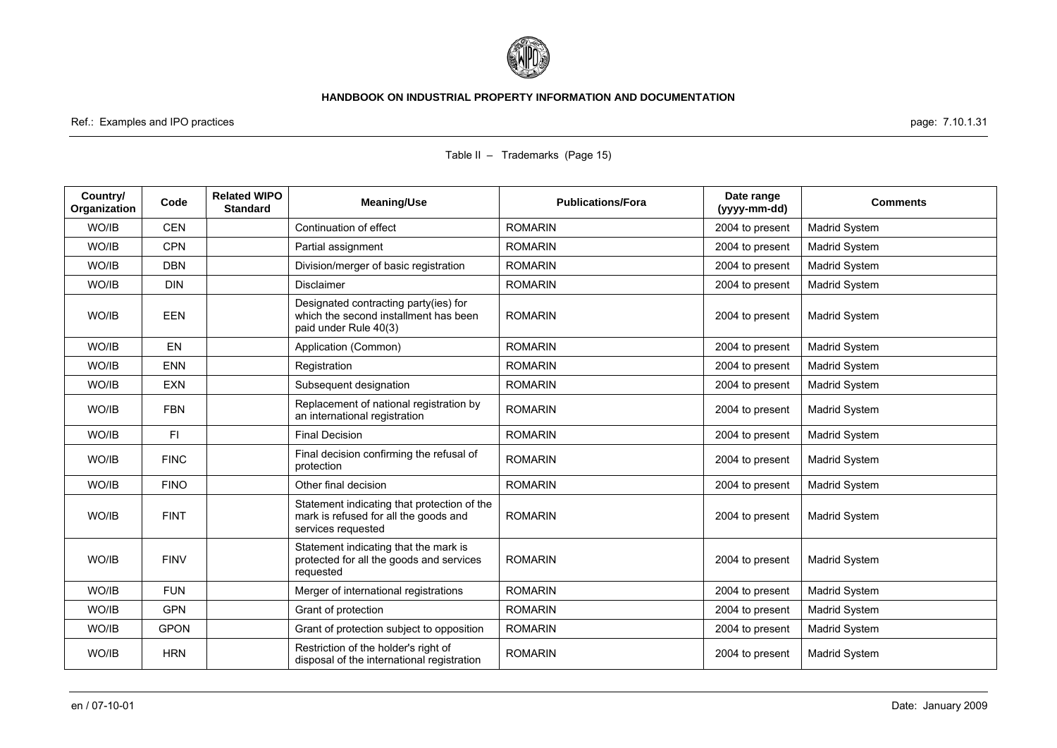

Ref.: Examples and IPO practices page: 7.10.1.31

| Country/<br>Organization | Code        | <b>Related WIPO</b><br><b>Standard</b> | <b>Meaning/Use</b>                                                                                         | <b>Publications/Fora</b> | Date range<br>(yyyy-mm-dd) | <b>Comments</b>      |
|--------------------------|-------------|----------------------------------------|------------------------------------------------------------------------------------------------------------|--------------------------|----------------------------|----------------------|
| WO/IB                    | <b>CEN</b>  |                                        | Continuation of effect                                                                                     | <b>ROMARIN</b>           | 2004 to present            | <b>Madrid System</b> |
| WO/IB                    | <b>CPN</b>  |                                        | Partial assignment                                                                                         | <b>ROMARIN</b>           | 2004 to present            | <b>Madrid System</b> |
| WO/IB                    | <b>DBN</b>  |                                        | Division/merger of basic registration                                                                      | <b>ROMARIN</b>           | 2004 to present            | <b>Madrid System</b> |
| WO/IB                    | <b>DIN</b>  |                                        | <b>Disclaimer</b>                                                                                          | <b>ROMARIN</b>           | 2004 to present            | Madrid System        |
| WO/IB                    | <b>EEN</b>  |                                        | Designated contracting party(ies) for<br>which the second installment has been<br>paid under Rule 40(3)    | <b>ROMARIN</b>           | 2004 to present            | <b>Madrid System</b> |
| WO/IB                    | <b>EN</b>   |                                        | Application (Common)                                                                                       | <b>ROMARIN</b>           | 2004 to present            | <b>Madrid System</b> |
| WO/IB                    | <b>ENN</b>  |                                        | Registration                                                                                               | <b>ROMARIN</b>           | 2004 to present            | <b>Madrid System</b> |
| WO/IB                    | <b>EXN</b>  |                                        | Subsequent designation                                                                                     | <b>ROMARIN</b>           | 2004 to present            | Madrid System        |
| WO/IB                    | <b>FBN</b>  |                                        | Replacement of national registration by<br>an international registration                                   | <b>ROMARIN</b>           | 2004 to present            | Madrid System        |
| WO/IB                    | FI.         |                                        | <b>Final Decision</b>                                                                                      | <b>ROMARIN</b>           | 2004 to present            | Madrid System        |
| WO/IB                    | <b>FINC</b> |                                        | Final decision confirming the refusal of<br>protection                                                     | <b>ROMARIN</b>           | 2004 to present            | <b>Madrid System</b> |
| WO/IB                    | <b>FINO</b> |                                        | Other final decision                                                                                       | <b>ROMARIN</b>           | 2004 to present            | <b>Madrid System</b> |
| WO/IB                    | <b>FINT</b> |                                        | Statement indicating that protection of the<br>mark is refused for all the goods and<br>services requested | <b>ROMARIN</b>           | 2004 to present            | <b>Madrid System</b> |
| WO/IB                    | <b>FINV</b> |                                        | Statement indicating that the mark is<br>protected for all the goods and services<br>requested             | <b>ROMARIN</b>           | 2004 to present            | <b>Madrid System</b> |
| WO/IB                    | <b>FUN</b>  |                                        | Merger of international registrations                                                                      | <b>ROMARIN</b>           | 2004 to present            | Madrid System        |
| WO/IB                    | <b>GPN</b>  |                                        | Grant of protection                                                                                        | <b>ROMARIN</b>           | 2004 to present            | Madrid System        |
| WO/IB                    | <b>GPON</b> |                                        | Grant of protection subject to opposition                                                                  | <b>ROMARIN</b>           | 2004 to present            | Madrid System        |
| WO/IB                    | <b>HRN</b>  |                                        | Restriction of the holder's right of<br>disposal of the international registration                         | <b>ROMARIN</b>           | 2004 to present            | Madrid System        |

### Table II – Trademarks (Page 15)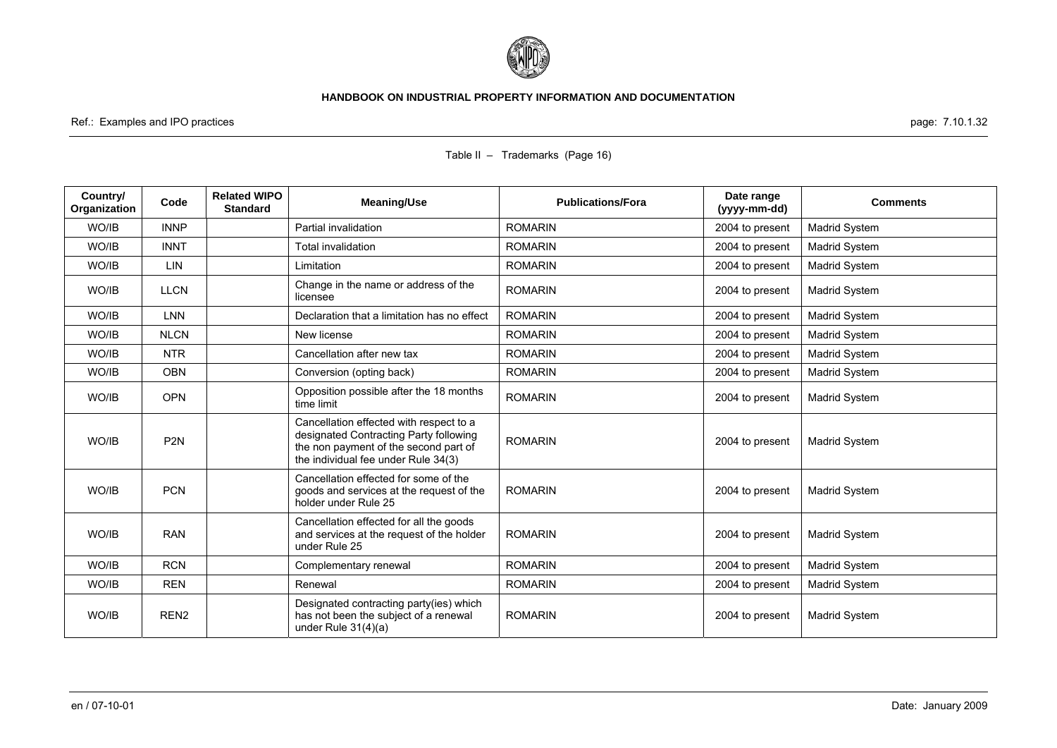

Ref.: Examples and IPO practices page: 7.10.1.32

| Country/<br>Organization | Code             | <b>Related WIPO</b><br><b>Standard</b> | <b>Meaning/Use</b>                                                                                                                                                | <b>Publications/Fora</b> | Date range<br>(yyyy-mm-dd) | <b>Comments</b>      |
|--------------------------|------------------|----------------------------------------|-------------------------------------------------------------------------------------------------------------------------------------------------------------------|--------------------------|----------------------------|----------------------|
| WO/IB                    | <b>INNP</b>      |                                        | Partial invalidation                                                                                                                                              | <b>ROMARIN</b>           | 2004 to present            | <b>Madrid System</b> |
| WO/IB                    | <b>INNT</b>      |                                        | Total invalidation                                                                                                                                                | <b>ROMARIN</b>           | 2004 to present            | <b>Madrid System</b> |
| WO/IB                    | LIN              |                                        | Limitation                                                                                                                                                        | <b>ROMARIN</b>           | 2004 to present            | Madrid System        |
| WO/IB                    | <b>LLCN</b>      |                                        | Change in the name or address of the<br>licensee                                                                                                                  | <b>ROMARIN</b>           | 2004 to present            | Madrid System        |
| WO/IB                    | <b>LNN</b>       |                                        | Declaration that a limitation has no effect                                                                                                                       | <b>ROMARIN</b>           | 2004 to present            | <b>Madrid System</b> |
| WO/IB                    | <b>NLCN</b>      |                                        | New license                                                                                                                                                       | <b>ROMARIN</b>           | 2004 to present            | <b>Madrid System</b> |
| WO/IB                    | <b>NTR</b>       |                                        | Cancellation after new tax                                                                                                                                        | <b>ROMARIN</b>           | 2004 to present            | <b>Madrid System</b> |
| WO/IB                    | <b>OBN</b>       |                                        | Conversion (opting back)                                                                                                                                          | <b>ROMARIN</b>           | 2004 to present            | Madrid System        |
| WO/IB                    | <b>OPN</b>       |                                        | Opposition possible after the 18 months<br>time limit                                                                                                             | <b>ROMARIN</b>           | 2004 to present            | Madrid System        |
| WO/IB                    | P <sub>2N</sub>  |                                        | Cancellation effected with respect to a<br>designated Contracting Party following<br>the non payment of the second part of<br>the individual fee under Rule 34(3) | <b>ROMARIN</b>           | 2004 to present            | Madrid System        |
| WO/IB                    | <b>PCN</b>       |                                        | Cancellation effected for some of the<br>goods and services at the request of the<br>holder under Rule 25                                                         | <b>ROMARIN</b>           | 2004 to present            | Madrid System        |
| WO/IB                    | <b>RAN</b>       |                                        | Cancellation effected for all the goods<br>and services at the request of the holder<br>under Rule 25                                                             | <b>ROMARIN</b>           | 2004 to present            | Madrid System        |
| WO/IB                    | <b>RCN</b>       |                                        | Complementary renewal                                                                                                                                             | <b>ROMARIN</b>           | 2004 to present            | <b>Madrid System</b> |
| WO/IB                    | <b>REN</b>       |                                        | Renewal                                                                                                                                                           | <b>ROMARIN</b>           | 2004 to present            | Madrid System        |
| WO/IB                    | REN <sub>2</sub> |                                        | Designated contracting party(ies) which<br>has not been the subject of a renewal<br>under Rule $31(4)(a)$                                                         | <b>ROMARIN</b>           | 2004 to present            | Madrid System        |

### Table II – Trademarks (Page 16)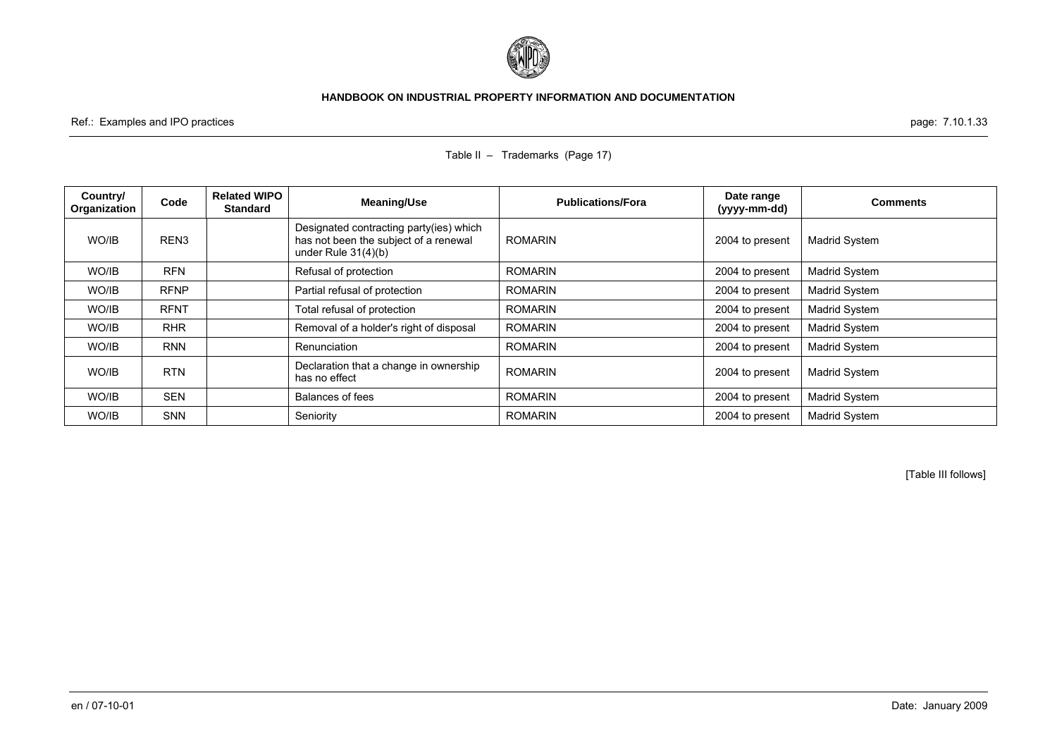

Ref.: Examples and IPO practices page: 7.10.1.33

| Country/<br>Organization | Code             | <b>Related WIPO</b><br><b>Standard</b> | Meaning/Use                                                                                               | <b>Publications/Fora</b> | Date range<br>(yyyy-mm-dd) | <b>Comments</b>      |
|--------------------------|------------------|----------------------------------------|-----------------------------------------------------------------------------------------------------------|--------------------------|----------------------------|----------------------|
| WO/IB                    | REN <sub>3</sub> |                                        | Designated contracting party(ies) which<br>has not been the subject of a renewal<br>under Rule $31(4)(b)$ | <b>ROMARIN</b>           | 2004 to present            | <b>Madrid System</b> |
| WO/IB                    | <b>RFN</b>       |                                        | Refusal of protection                                                                                     | <b>ROMARIN</b>           | 2004 to present            | <b>Madrid System</b> |
| WO/IB                    | <b>RFNP</b>      |                                        | Partial refusal of protection                                                                             | <b>ROMARIN</b>           | 2004 to present            | Madrid System        |
| WO/IB                    | <b>RFNT</b>      |                                        | Total refusal of protection                                                                               | <b>ROMARIN</b>           | 2004 to present            | Madrid System        |
| WO/IB                    | <b>RHR</b>       |                                        | Removal of a holder's right of disposal                                                                   | <b>ROMARIN</b>           | 2004 to present            | Madrid System        |
| WO/IB                    | <b>RNN</b>       |                                        | Renunciation                                                                                              | <b>ROMARIN</b>           | 2004 to present            | <b>Madrid System</b> |
| WO/IB                    | <b>RTN</b>       |                                        | Declaration that a change in ownership<br>has no effect                                                   | <b>ROMARIN</b>           | 2004 to present            | <b>Madrid System</b> |
| WO/IB                    | <b>SEN</b>       |                                        | Balances of fees                                                                                          | <b>ROMARIN</b>           | 2004 to present            | <b>Madrid System</b> |
| WO/IB                    | <b>SNN</b>       |                                        | Seniority                                                                                                 | <b>ROMARIN</b>           | 2004 to present            | Madrid System        |

Table II – Trademarks (Page 17)

[Table III follows]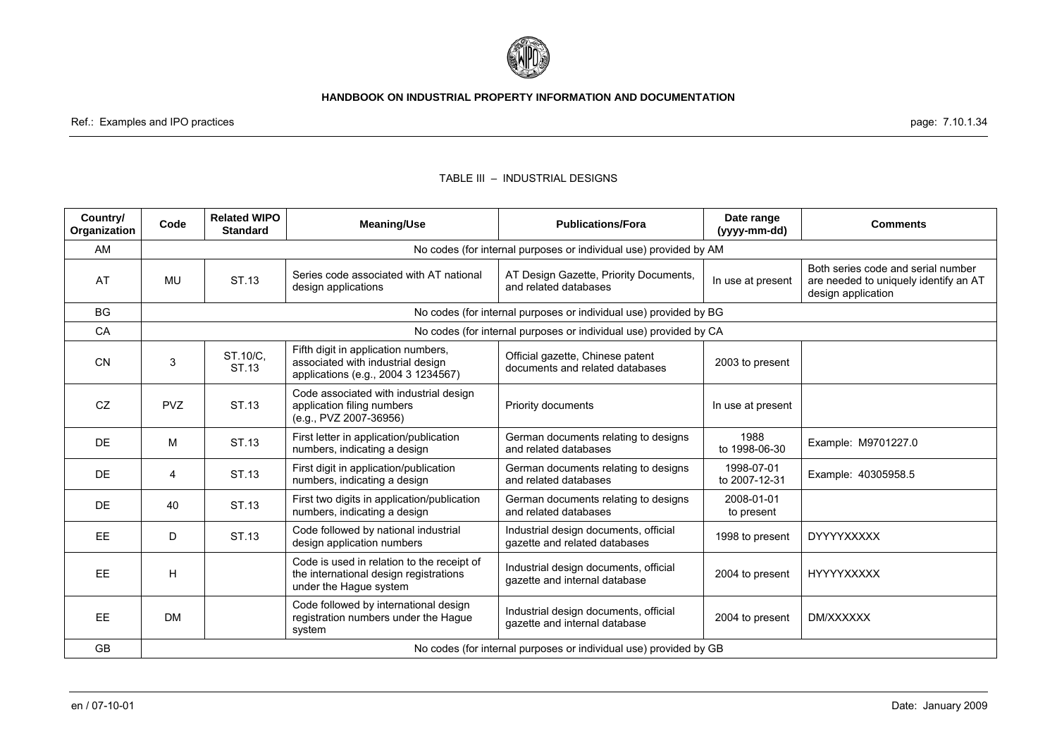

Ref.: Examples and IPO practices page: 7.10.1.34

# **Country/ Organization Code Related WIPO Standard Meaning/Use Publications/Fora Date range (yyyy-mm-dd) Comments**  AM AM No codes (for internal purposes or individual use) provided by AM MU ST.13 Series code associated with AT national AT Design Gazette, Priority Documents, In use at present are needed to uniquely identify an AT and related databases MU ST.13 design applications BG No codes (for internal purposes or individual use) provided by BG CA No codes (for internal purposes or individual use) provided by CA CN 3 ST.10/C, Fifth digit in application numbers,<br>
ST.13 associated with industrial design documents and related databases 2003 to present documents and related databases CZ | PVZ | ST.13 Code associated with industrial design application filing numbers (e.g., PVZ 2007-36956) Priority documents **In use at present** DE M ST.13 First letter in application/publication German documents relating to designs 1988 [2xample: M9701227.0<br>and related databases to designs to 1998-06-30 Example: M9701227.0 DE 4 ST.13 First digit in application/publication German documents relating to designs 1998-07-01 Example: 40305958.5<br>and related databases to 2007-12-31 Example: 40305958.5 DE 40 ST.13 First two digits in application/publication German documents relating to designs 2008-01-01 end related databases to present EE D ST.13 Code followed by national industrial Industrial design documents, official 1998 to present DYYYYXXXXX<br>gazette and related databases 1998 to present DYYYYXXXXX **EE**  $H$ Code is used in relation to the receipt of the international design registrations under the Hague system Industrial design documents, official muustilal desigli documents, oliicial and internal database 2004 to present HYYYYXXXXXX EE DM Code followed by international design registration numbers under the Hague system Industrial design documents, official mudistrial design documents, official and control 2004 to present | DM/XXXXXX<br>qazette and internal database GB No codes (for internal purposes or individual use) provided by GB

#### TABLE III – INDUSTRIAL DESIGNS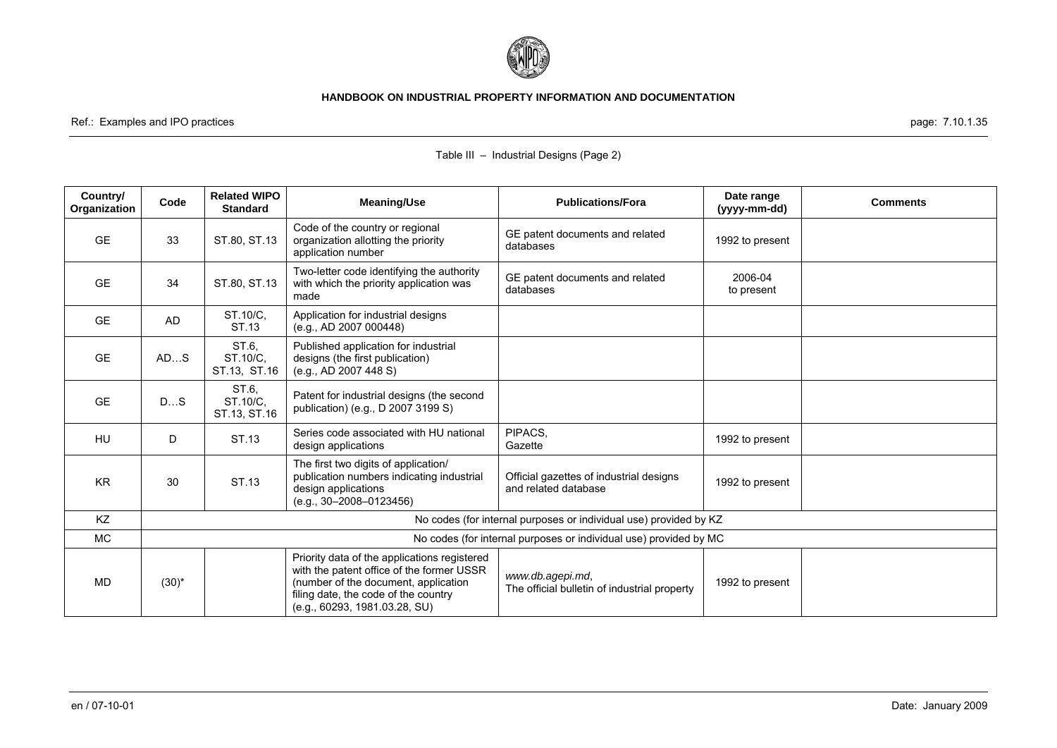

Ref.: Examples and IPO practices page: 7.10.1.35

| Country/<br>Organization | Code       | <b>Related WIPO</b><br><b>Standard</b> | <b>Meaning/Use</b>                                                                                                                                                                                         | <b>Publications/Fora</b>                                          | Date range<br>(yyyy-mm-dd) | <b>Comments</b> |
|--------------------------|------------|----------------------------------------|------------------------------------------------------------------------------------------------------------------------------------------------------------------------------------------------------------|-------------------------------------------------------------------|----------------------------|-----------------|
| <b>GE</b>                | 33         | ST.80, ST.13                           | Code of the country or regional<br>organization allotting the priority<br>application number                                                                                                               | GE patent documents and related<br>databases                      | 1992 to present            |                 |
| <b>GE</b>                | 34         | ST.80, ST.13                           | Two-letter code identifying the authority<br>with which the priority application was<br>made                                                                                                               | GE patent documents and related<br>databases                      | 2006-04<br>to present      |                 |
| <b>GE</b>                | <b>AD</b>  | ST.10/C,<br>ST.13                      | Application for industrial designs<br>(e.g., AD 2007 000448)                                                                                                                                               |                                                                   |                            |                 |
| <b>GE</b>                | ADS        | ST.6.<br>ST.10/C,<br>ST.13, ST.16      | Published application for industrial<br>designs (the first publication)<br>(e.g., AD 2007 448 S)                                                                                                           |                                                                   |                            |                 |
| <b>GE</b>                | DS         | ST.6.<br>ST.10/C.<br>ST.13, ST.16      | Patent for industrial designs (the second<br>publication) (e.g., D 2007 3199 S)                                                                                                                            |                                                                   |                            |                 |
| HU                       | D          | ST.13                                  | Series code associated with HU national<br>design applications                                                                                                                                             | PIPACS,<br>Gazette                                                | 1992 to present            |                 |
| <b>KR</b>                | 30         | ST.13                                  | The first two digits of application/<br>publication numbers indicating industrial<br>design applications<br>$(e.g., 30-2008-0123456)$                                                                      | Official gazettes of industrial designs<br>and related database   | 1992 to present            |                 |
| KZ                       |            |                                        |                                                                                                                                                                                                            | No codes (for internal purposes or individual use) provided by KZ |                            |                 |
| <b>MC</b>                |            |                                        |                                                                                                                                                                                                            | No codes (for internal purposes or individual use) provided by MC |                            |                 |
| MD                       | $(30)^{*}$ |                                        | Priority data of the applications registered<br>with the patent office of the former USSR<br>(number of the document, application<br>filing date, the code of the country<br>(e.g., 60293, 1981.03.28, SU) | www.db.agepi.md,<br>The official bulletin of industrial property  | 1992 to present            |                 |

# Table III – Industrial Designs (Page 2)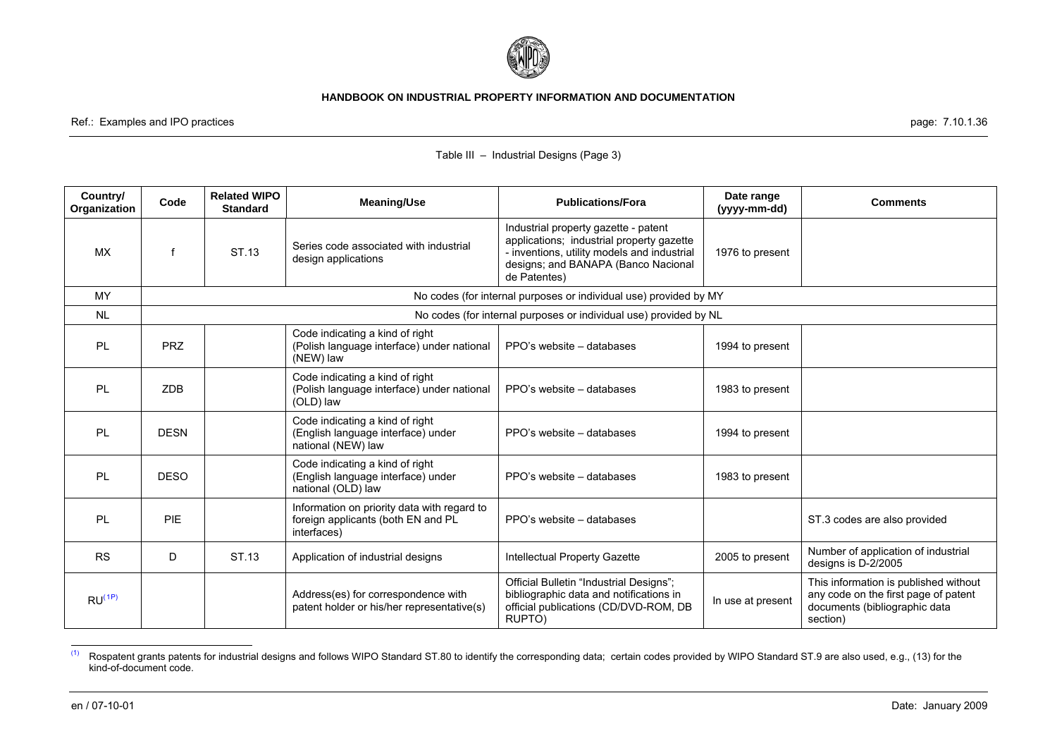

<span id="page-36-0"></span>Ref.: Examples and IPO practices **page: 7.10.1.36** examples and IPO practices page: 7.10.1.36

| Country/<br><b>Organization</b> | Code        | <b>Related WIPO</b><br><b>Standard</b> | <b>Meaning/Use</b>                                                                               | <b>Publications/Fora</b>                                                                                                                                                                | Date range<br>(yyyy-mm-dd) | <b>Comments</b>                                                                                                            |
|---------------------------------|-------------|----------------------------------------|--------------------------------------------------------------------------------------------------|-----------------------------------------------------------------------------------------------------------------------------------------------------------------------------------------|----------------------------|----------------------------------------------------------------------------------------------------------------------------|
| <b>MX</b>                       |             | ST.13                                  | Series code associated with industrial<br>design applications                                    | Industrial property gazette - patent<br>applications; industrial property gazette<br>- inventions, utility models and industrial<br>designs; and BANAPA (Banco Nacional<br>de Patentes) | 1976 to present            |                                                                                                                            |
| MY                              |             |                                        |                                                                                                  | No codes (for internal purposes or individual use) provided by MY                                                                                                                       |                            |                                                                                                                            |
| <b>NL</b>                       |             |                                        |                                                                                                  | No codes (for internal purposes or individual use) provided by NL                                                                                                                       |                            |                                                                                                                            |
| <b>PL</b>                       | <b>PRZ</b>  |                                        | Code indicating a kind of right<br>(Polish language interface) under national<br>(NEW) law       | PPO's website – databases                                                                                                                                                               | 1994 to present            |                                                                                                                            |
| PL                              | <b>ZDB</b>  |                                        | Code indicating a kind of right<br>(Polish language interface) under national<br>(OLD) law       | PPO's website – databases                                                                                                                                                               | 1983 to present            |                                                                                                                            |
| PL                              | <b>DESN</b> |                                        | Code indicating a kind of right<br>(English language interface) under<br>national (NEW) law      | PPO's website – databases                                                                                                                                                               | 1994 to present            |                                                                                                                            |
| <b>PL</b>                       | <b>DESO</b> |                                        | Code indicating a kind of right<br>(English language interface) under<br>national (OLD) law      | PPO's website – databases                                                                                                                                                               | 1983 to present            |                                                                                                                            |
| <b>PL</b>                       | PIE         |                                        | Information on priority data with regard to<br>foreign applicants (both EN and PL<br>interfaces) | PPO's website – databases                                                                                                                                                               |                            | ST.3 codes are also provided                                                                                               |
| <b>RS</b>                       | D           | ST.13                                  | Application of industrial designs                                                                | Intellectual Property Gazette                                                                                                                                                           | 2005 to present            | Number of application of industrial<br>designs is D-2/2005                                                                 |
| RU <sup>(1P)</sup>              |             |                                        | Address(es) for correspondence with<br>patent holder or his/her representative(s)                | Official Bulletin "Industrial Designs";<br>bibliographic data and notifications in<br>official publications (CD/DVD-ROM, DB<br>RUPTO)                                                   | In use at present          | This information is published without<br>any code on the first page of patent<br>documents (bibliographic data<br>section) |

# Table III – Industrial Designs (Page 3)

<sup>&</sup>lt;sup>(1)</sup> Rospatent grants patents for industrial designs and follows WIPO Standard ST.80 to identify the corresponding data; certain codes provided by WIPO Standard ST.9 are also used, e.g., (13) for the kind-of-document code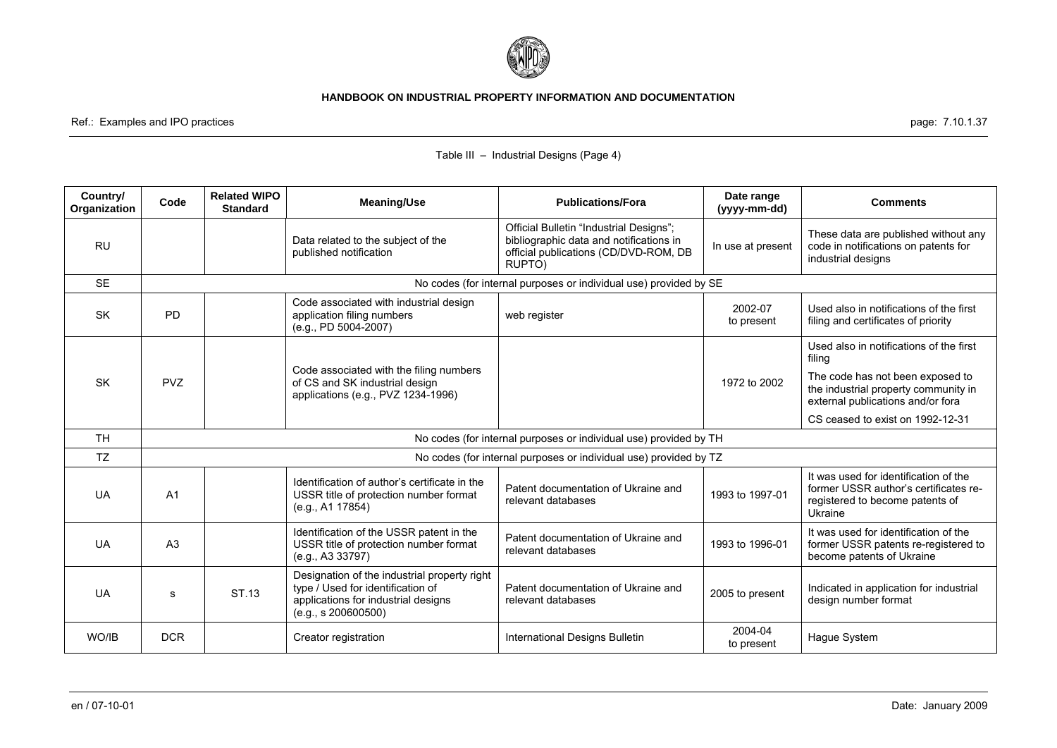

Ref.: Examples and IPO practices page: 7.10.1.37

| Country/<br>Organization | Code           | <b>Related WIPO</b><br><b>Standard</b> | <b>Meaning/Use</b>                                                                                                                              | <b>Publications/Fora</b>                                                                                                              | Date range<br>(yyyy-mm-dd) | <b>Comments</b>                                                                                                              |
|--------------------------|----------------|----------------------------------------|-------------------------------------------------------------------------------------------------------------------------------------------------|---------------------------------------------------------------------------------------------------------------------------------------|----------------------------|------------------------------------------------------------------------------------------------------------------------------|
| <b>RU</b>                |                |                                        | Data related to the subject of the<br>published notification                                                                                    | Official Bulletin "Industrial Designs";<br>bibliographic data and notifications in<br>official publications (CD/DVD-ROM, DB<br>RUPTO) | In use at present          | These data are published without any<br>code in notifications on patents for<br>industrial designs                           |
| <b>SE</b>                |                |                                        |                                                                                                                                                 | No codes (for internal purposes or individual use) provided by SE                                                                     |                            |                                                                                                                              |
| <b>SK</b>                | <b>PD</b>      |                                        | Code associated with industrial design<br>application filing numbers<br>(e.g., PD 5004-2007)                                                    | web register                                                                                                                          | 2002-07<br>to present      | Used also in notifications of the first<br>filing and certificates of priority                                               |
|                          |                |                                        |                                                                                                                                                 |                                                                                                                                       |                            | Used also in notifications of the first<br>filing                                                                            |
| <b>SK</b>                | <b>PVZ</b>     |                                        | Code associated with the filing numbers<br>of CS and SK industrial design<br>applications (e.g., PVZ 1234-1996)                                 |                                                                                                                                       | 1972 to 2002               | The code has not been exposed to<br>the industrial property community in<br>external publications and/or fora                |
|                          |                |                                        |                                                                                                                                                 |                                                                                                                                       |                            | CS ceased to exist on 1992-12-31                                                                                             |
| <b>TH</b>                |                |                                        |                                                                                                                                                 | No codes (for internal purposes or individual use) provided by TH                                                                     |                            |                                                                                                                              |
| <b>TZ</b>                |                |                                        |                                                                                                                                                 | No codes (for internal purposes or individual use) provided by TZ                                                                     |                            |                                                                                                                              |
| <b>UA</b>                | A <sub>1</sub> |                                        | Identification of author's certificate in the<br>USSR title of protection number format<br>(e.g., A1 17854)                                     | Patent documentation of Ukraine and<br>relevant databases                                                                             | 1993 to 1997-01            | It was used for identification of the<br>former USSR author's certificates re-<br>registered to become patents of<br>Ukraine |
| <b>UA</b>                | A <sub>3</sub> |                                        | Identification of the USSR patent in the<br>USSR title of protection number format<br>(e.g., A3 33797)                                          | Patent documentation of Ukraine and<br>relevant databases                                                                             | 1993 to 1996-01            | It was used for identification of the<br>former USSR patents re-registered to<br>become patents of Ukraine                   |
| <b>UA</b>                | s              | ST.13                                  | Designation of the industrial property right<br>type / Used for identification of<br>applications for industrial designs<br>(e.g., s 200600500) | Patent documentation of Ukraine and<br>relevant databases                                                                             | 2005 to present            | Indicated in application for industrial<br>design number format                                                              |
| WO/IB                    | <b>DCR</b>     |                                        | Creator registration                                                                                                                            | International Designs Bulletin                                                                                                        | 2004-04<br>to present      | Hague System                                                                                                                 |

# Table III – Industrial Designs (Page 4)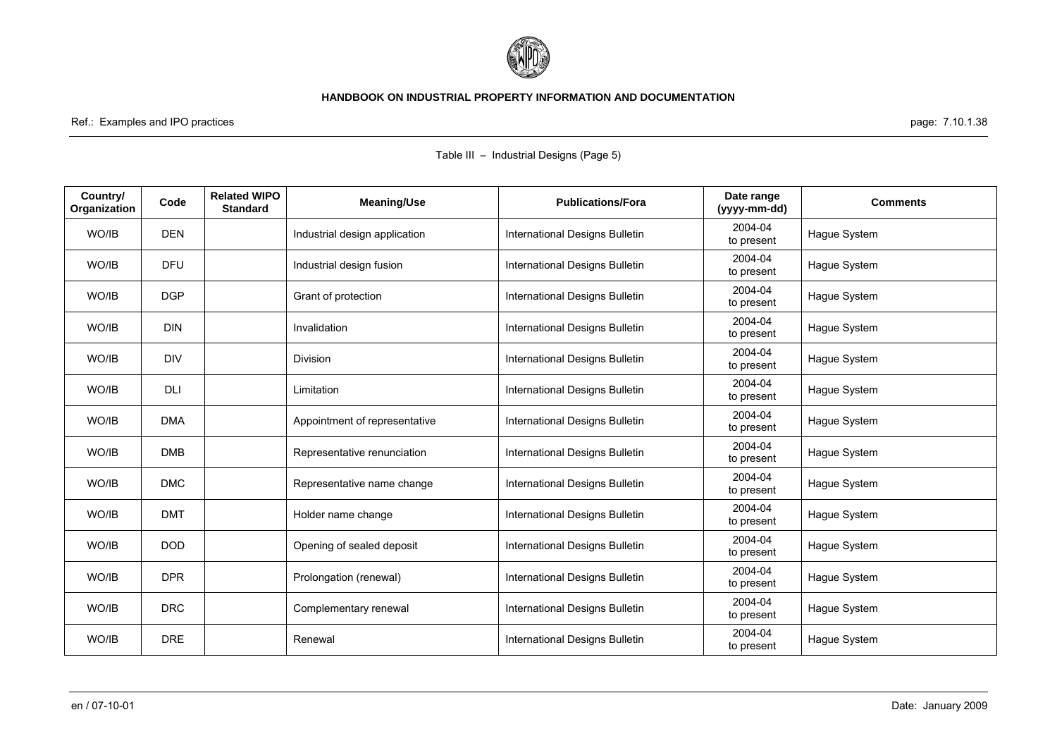

Ref.: Examples and IPO practices page: 7.10.1.38

|                          |            |                                        |                               | able in $\sim$ maddition bealging in age of |                            |                 |
|--------------------------|------------|----------------------------------------|-------------------------------|---------------------------------------------|----------------------------|-----------------|
| Country/<br>Organization | Code       | <b>Related WIPO</b><br><b>Standard</b> | <b>Meaning/Use</b>            | <b>Publications/Fora</b>                    | Date range<br>(yyyy-mm-dd) | <b>Comments</b> |
| WO/IB                    | <b>DEN</b> |                                        | Industrial design application | International Designs Bulletin              | 2004-04<br>to present      | Hague System    |
| WO/IB                    | <b>DFU</b> |                                        | Industrial design fusion      | International Designs Bulletin              | 2004-04<br>to present      | Hague System    |
| WO/IB                    | <b>DGP</b> |                                        | Grant of protection           | International Designs Bulletin              | 2004-04<br>to present      | Hague System    |
| WO/IB                    | <b>DIN</b> |                                        | Invalidation                  | International Designs Bulletin              | 2004-04<br>to present      | Hague System    |
| WO/IB                    | <b>DIV</b> |                                        | Division                      | International Designs Bulletin              | 2004-04<br>to present      | Hague System    |
| WO/IB                    | <b>DLI</b> |                                        | Limitation                    | International Designs Bulletin              | 2004-04<br>to present      | Hague System    |
| WO/IB                    | <b>DMA</b> |                                        | Appointment of representative | International Designs Bulletin              | 2004-04<br>to present      | Hague System    |
| WO/IB                    | <b>DMB</b> |                                        | Representative renunciation   | International Designs Bulletin              | 2004-04<br>to present      | Hague System    |
| WO/IB                    | <b>DMC</b> |                                        | Representative name change    | International Designs Bulletin              | 2004-04<br>to present      | Hague System    |
| WO/IB                    | <b>DMT</b> |                                        | Holder name change            | International Designs Bulletin              | 2004-04<br>to present      | Hague System    |
| WO/IB                    | <b>DOD</b> |                                        | Opening of sealed deposit     | International Designs Bulletin              | 2004-04<br>to present      | Hague System    |
| WO/IB                    | <b>DPR</b> |                                        | Prolongation (renewal)        | International Designs Bulletin              | 2004-04<br>to present      | Hague System    |
| WO/IB                    | <b>DRC</b> |                                        | Complementary renewal         | International Designs Bulletin              | 2004-04<br>to present      | Hague System    |
| WO/IB                    | <b>DRE</b> |                                        | Renewal                       | International Designs Bulletin              | 2004-04<br>to present      | Hague System    |

### Table III – Industrial Designs (Page 5)